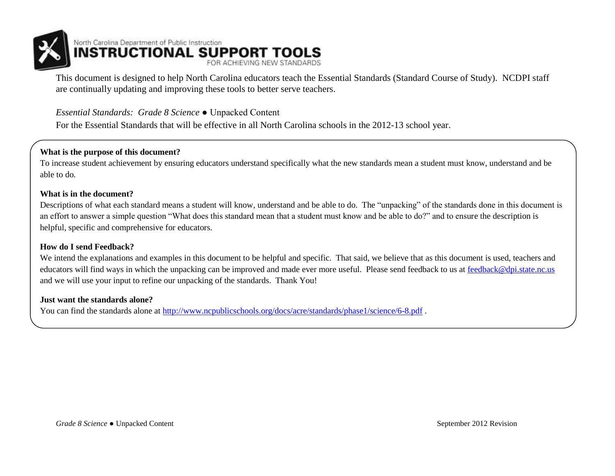

This document is designed to help North Carolina educators teach the Essential Standards (Standard Course of Study). NCDPI staff are continually updating and improving these tools to better serve teachers.

### *Essential Standards: Grade 8 Science* ● Unpacked Content

For the Essential Standards that will be effective in all North Carolina schools in the 2012-13 school year.

#### **What is the purpose of this document?**

To increase student achievement by ensuring educators understand specifically what the new standards mean a student must know, understand and be able to do.

#### **What is in the document?**

Descriptions of what each standard means a student will know, understand and be able to do. The "unpacking" of the standards done in this document is an effort to answer a simple question "What does this standard mean that a student must know and be able to do?" and to ensure the description is helpful, specific and comprehensive for educators.

#### **How do I send Feedback?**

We intend the explanations and examples in this document to be helpful and specific. That said, we believe that as this document is used, teachers and educators will find ways in which the unpacking can be improved and made ever more useful. Please send feedback to us at [feedback@dpi.state.nc.us](mailto:feedback@dpi.state.nc.us) and we will use your input to refine our unpacking of the standards. Thank You!

#### **Just want the standards alone?**

You can find the standards alone at<http://www.ncpublicschools.org/docs/acre/standards/phase1/science/6-8.pdf>.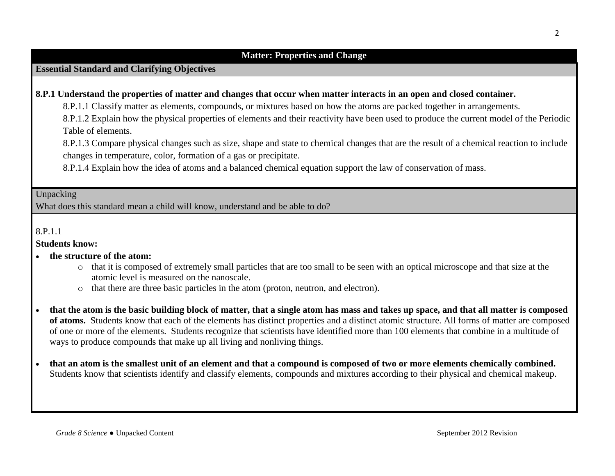### **Essential Standard and Clarifying Objectives**

#### **8.P.1 Understand the properties of matter and changes that occur when matter interacts in an open and closed container.**

8.P.1.1 Classify matter as elements, compounds, or mixtures based on how the atoms are packed together in arrangements.

8.P.1.2 Explain how the physical properties of elements and their reactivity have been used to produce the current model of the Periodic Table of elements.

8.P.1.3 Compare physical changes such as size, shape and state to chemical changes that are the result of a chemical reaction to include changes in temperature, color, formation of a gas or precipitate.

8.P.1.4 Explain how the idea of atoms and a balanced chemical equation support the law of conservation of mass.

Unpacking

What does this standard mean a child will know, understand and be able to do?

8.P.1.1

**Students know:**

- **the structure of the atom:**
	- o that it is composed of extremely small particles that are too small to be seen with an optical microscope and that size at the atomic level is measured on the nanoscale.
	- o that there are three basic particles in the atom (proton, neutron, and electron).
- **that the atom is the basic building block of matter, that a single atom has mass and takes up space, and that all matter is composed of atoms.** Students know that each of the elements has distinct properties and a distinct atomic structure. All forms of matter are composed of one or more of the elements. Students recognize that scientists have identified more than 100 elements that combine in a multitude of ways to produce compounds that make up all living and nonliving things.
- **that an atom is the smallest unit of an element and that a compound is composed of two or more elements chemically combined.** Students know that scientists identify and classify elements, compounds and mixtures according to their physical and chemical makeup.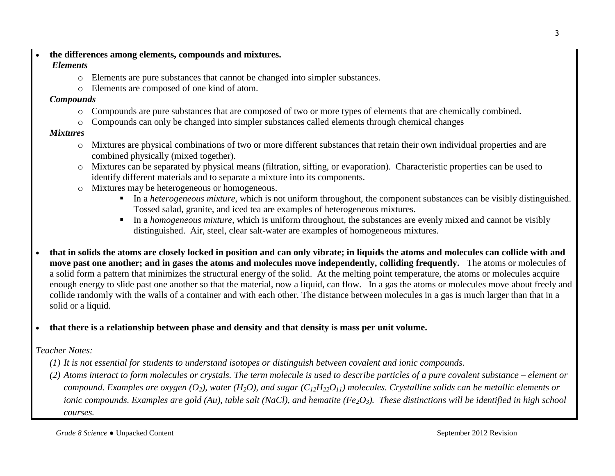#### **the differences among elements, compounds and mixtures.**

# *Elements*

- o Elements are pure substances that cannot be changed into simpler substances.
- o Elements are composed of one kind of atom.

# *Compounds*

- o Compounds are pure substances that are composed of two or more types of elements that are chemically combined.
- o Compounds can only be changed into simpler substances called elements through chemical changes

# *Mixtures*

- o Mixtures are physical combinations of two or more different substances that retain their own individual properties and are combined physically (mixed together).
- o Mixtures can be separated by physical means (filtration, sifting, or evaporation). Characteristic properties can be used to identify different materials and to separate a mixture into its components.
- o Mixtures may be heterogeneous or homogeneous.
	- In a *heterogeneous mixture*, which is not uniform throughout, the component substances can be visibly distinguished. Tossed salad, granite, and iced tea are examples of heterogeneous mixtures.
	- In a *homogeneous mixture*, which is uniform throughout, the substances are evenly mixed and cannot be visibly distinguished. Air, steel, clear salt-water are examples of homogeneous mixtures.
- **that in solids the atoms are closely locked in position and can only vibrate; in liquids the atoms and molecules can collide with and move past one another; and in gases the atoms and molecules move independently, colliding frequently.** The atoms or molecules of a solid form a pattern that minimizes the structural energy of the solid. At the melting point temperature, the atoms or molecules acquire enough energy to slide past one another so that the material, now a liquid, can flow. In a gas the atoms or molecules move about freely and collide randomly with the walls of a container and with each other. The distance between molecules in a gas is much larger than that in a solid or a liquid.
- **that there is a relationship between phase and density and that density is mass per unit volume.**

# *Teacher Notes:*

- *(1) It is not essential for students to understand isotopes or distinguish between covalent and ionic compounds*.
- *(2) Atoms interact to form molecules or crystals. The term molecule is used to describe particles of a pure covalent substance – element or compound. Examples are oxygen*  $(O_2)$ , water  $(H_2O)$ , and sugar  $(C_{12}H_{22}O_{11})$  molecules. Crystalline solids can be metallic elements or *ionic compounds. Examples are gold (Au), table salt (NaCl), and hematite (Fe2O3). These distinctions will be identified in high school courses.*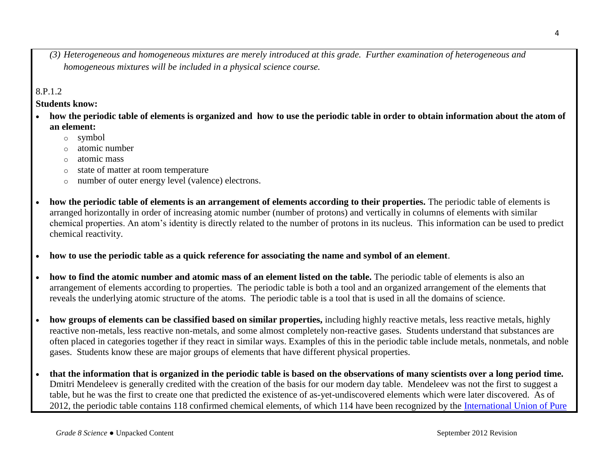*(3) Heterogeneous and homogeneous mixtures are merely introduced at this grade. Further examination of heterogeneous and homogeneous mixtures will be included in a physical science course.* 

### 8.P.1.2

**Students know:**

- **how the periodic table of elements is organized and how to use the periodic table in order to obtain information about the atom of an element:**
	- o symbol
	- atomic number
	- o atomic mass
	- o state of matter at room temperature
	- o number of outer energy level (valence) electrons.
- **how the periodic table of elements is an arrangement of elements according to their properties.** The periodic table of elements is arranged horizontally in order of increasing atomic number (number of protons) and vertically in columns of elements with similar chemical properties. An atom's identity is directly related to the number of protons in its nucleus. This information can be used to predict chemical reactivity.
- **how to use the periodic table as a quick reference for associating the name and symbol of an element**.
- **how to find the atomic number and atomic mass of an element listed on the table.** The periodic table of elements is also an arrangement of elements according to properties. The periodic table is both a tool and an organized arrangement of the elements that reveals the underlying atomic structure of the atoms. The periodic table is a tool that is used in all the domains of science.
- **how groups of elements can be classified based on similar properties,** including highly reactive metals, less reactive metals, highly reactive non-metals, less reactive non-metals, and some almost completely non-reactive gases. Students understand that substances are often placed in categories together if they react in similar ways. Examples of this in the periodic table include metals, nonmetals, and noble gases. Students know these are major groups of elements that have different physical properties.
- **that the information that is organized in the periodic table is based on the observations of many scientists over a long period time.** Dmitri Mendeleev is generally credited with the creation of the basis for our modern day table. Mendeleev was not the first to suggest a table, but he was the first to create one that predicted the existence of as-yet-undiscovered elements which were later discovered. As of 2012, the periodic table contains 118 confirmed chemical elements, of which 114 have been recognized by the [International Union of Pure](http://en.wikipedia.org/wiki/International_Union_of_Pure_and_Applied_Chemistry)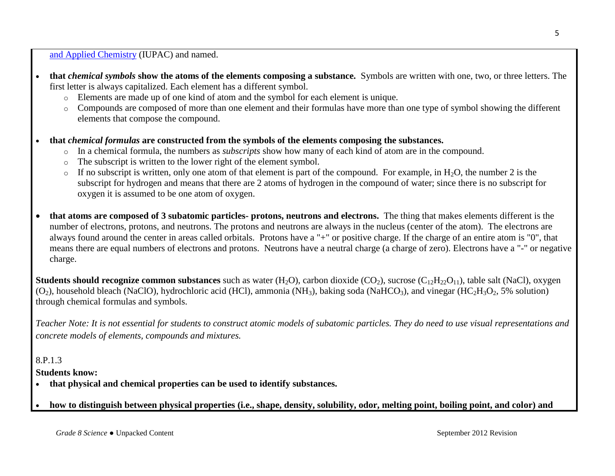[and Applied Chemistry](http://en.wikipedia.org/wiki/International_Union_of_Pure_and_Applied_Chemistry) (IUPAC) and named.

- **that** *chemical symbols* **show the atoms of the elements composing a substance.** Symbols are written with one, two, or three letters. The first letter is always capitalized. Each element has a different symbol.
	- o Elements are made up of one kind of atom and the symbol for each element is unique.
	- o Compounds are composed of more than one element and their formulas have more than one type of symbol showing the different elements that compose the compound.
- **that** *chemical formulas* **are constructed from the symbols of the elements composing the substances.** 
	- o In a chemical formula, the numbers as *subscripts* show how many of each kind of atom are in the compound.
	- o The subscript is written to the lower right of the element symbol.
	- $\circ$  If no subscript is written, only one atom of that element is part of the compound. For example, in H<sub>2</sub>O, the number 2 is the subscript for hydrogen and means that there are 2 atoms of hydrogen in the compound of water; since there is no subscript for oxygen it is assumed to be one atom of oxygen.
- **that atoms are composed of 3 subatomic particles- protons, neutrons and electrons.** The thing that makes elements different is the number of electrons, protons, and neutrons. The protons and neutrons are always in the nucleus (center of the atom). The electrons are always found around the center in areas called orbitals. Protons have a "+" or positive charge. If the charge of an entire atom is "0", that means there are equal numbers of electrons and protons. Neutrons have a neutral charge (a charge of zero). Electrons have a "-" or negative charge.

**Students should recognize common substances** such as water  $(H_2O)$ , carbon dioxide  $(CO_2)$ , sucrose  $(C_{12}H_{22}O_{11})$ , table salt (NaCl), oxygen  $(O_2)$ , household bleach (NaClO), hydrochloric acid (HCl), ammonia (NH<sub>3</sub>), baking soda (NaHCO<sub>3</sub>), and vinegar (HC<sub>2</sub>H<sub>3</sub>O<sub>2</sub>, 5% solution) through chemical formulas and symbols.

*Teacher Note: It is not essential for students to construct atomic models of subatomic particles. They do need to use visual representations and concrete models of elements, compounds and mixtures.*

# 8.P.1.3

**Students know:**

- **that physical and chemical properties can be used to identify substances.**
- **how to distinguish between physical properties (i.e., shape, density, solubility, odor, melting point, boiling point, and color) and**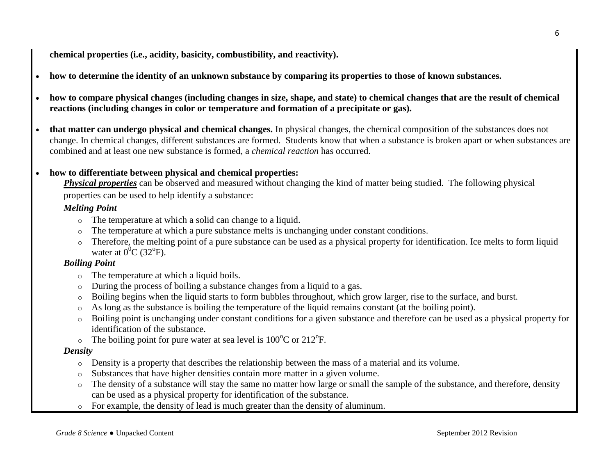**chemical properties (i.e., acidity, basicity, combustibility, and reactivity).**

- **how to determine the identity of an unknown substance by comparing its properties to those of known substances.**
- **how to compare physical changes (including changes in size, shape, and state) to chemical changes that are the result of chemical reactions (including changes in color or temperature and formation of a precipitate or gas).**
- **that matter can undergo physical and chemical changes.** In physical changes, the chemical composition of the substances does not change. In chemical changes, different substances are formed. Students know that when a substance is broken apart or when substances are combined and at least one new substance is formed, a *chemical reaction* has occurred.

#### **how to differentiate between physical and chemical properties:**

*Physical properties* can be observed and measured without changing the kind of matter being studied. The following physical properties can be used to help identify a substance:

#### *Melting Point*

- o The temperature at which a solid can change to a liquid.
- o The temperature at which a pure substance melts is unchanging under constant conditions.
- o Therefore, the melting point of a pure substance can be used as a physical property for identification. Ice melts to form liquid water at  $0^0C$  (32<sup>o</sup>F).

### *Boiling Point*

- o The temperature at which a liquid boils.
- o During the process of boiling a substance changes from a liquid to a gas.
- o Boiling begins when the liquid starts to form bubbles throughout, which grow larger, rise to the surface, and burst.
- o As long as the substance is boiling the temperature of the liquid remains constant (at the boiling point).
- o Boiling point is unchanging under constant conditions for a given substance and therefore can be used as a physical property for identification of the substance.
- $\circ$  The boiling point for pure water at sea level is 100<sup>o</sup>C or 212<sup>o</sup>F.

#### *Density*

- o Density is a property that describes the relationship between the mass of a material and its volume.
- o Substances that have higher densities contain more matter in a given volume.
- $\circ$  The density of a substance will stay the same no matter how large or small the sample of the substance, and therefore, density can be used as a physical property for identification of the substance.
- o For example, the density of lead is much greater than the density of aluminum.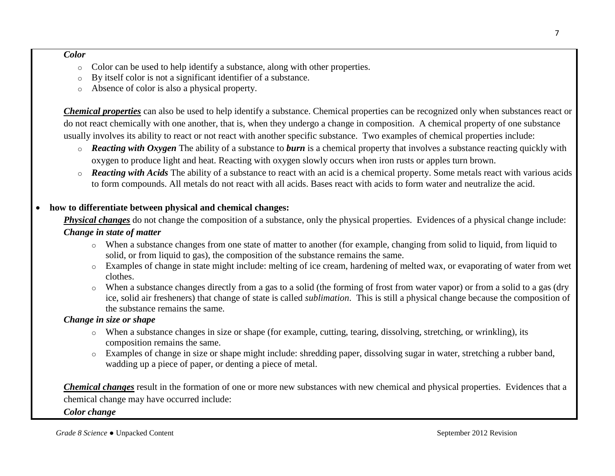#### *Color*

- o Color can be used to help identify a substance, along with other properties.
- o By itself color is not a significant identifier of a substance.
- o Absence of color is also a physical property.

*Chemical properties* can also be used to help identify a substance. Chemical properties can be recognized only when substances react or do not react chemically with one another, that is, when they undergo a change in composition. A chemical property of one substance usually involves its ability to react or not react with another specific substance. Two examples of chemical properties include:

- o *Reacting with Oxygen* The ability of a substance to *burn* is a chemical property that involves a substance reacting quickly with oxygen to produce light and heat. Reacting with oxygen slowly occurs when iron rusts or apples turn brown.
- o *Reacting with Acids* The ability of a substance to react with an acid is a chemical property. Some metals react with various acids to form compounds. All metals do not react with all acids. Bases react with acids to form water and neutralize the acid.

### **how to differentiate between physical and chemical changes:**

**Physical changes** do not change the composition of a substance, only the physical properties. Evidences of a physical change include:

### *Change in state of matter*

- o When a substance changes from one state of matter to another (for example, changing from solid to liquid, from liquid to solid, or from liquid to gas), the composition of the substance remains the same.
- o Examples of change in state might include: melting of ice cream, hardening of melted wax, or evaporating of water from wet clothes.
- o When a substance changes directly from a gas to a solid (the forming of frost from water vapor) or from a solid to a gas (dry ice, solid air fresheners) that change of state is called *sublimation*. This is still a physical change because the composition of the substance remains the same.

### *Change in size or shape*

- o When a substance changes in size or shape (for example, cutting, tearing, dissolving, stretching, or wrinkling), its composition remains the same.
- o Examples of change in size or shape might include: shredding paper, dissolving sugar in water, stretching a rubber band, wadding up a piece of paper, or denting a piece of metal.

*Chemical changes* result in the formation of one or more new substances with new chemical and physical properties. Evidences that a chemical change may have occurred include:

*Color change*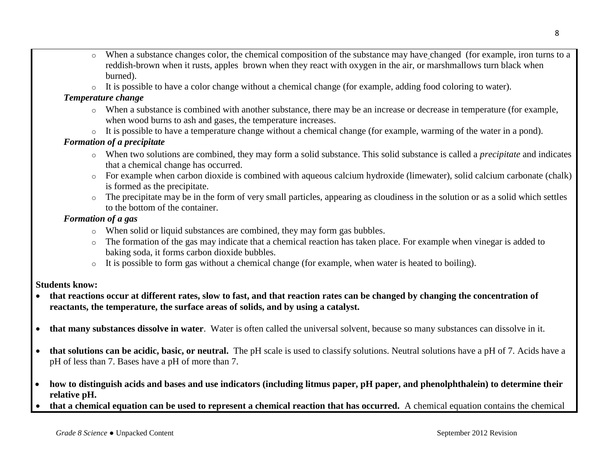- o When a substance changes color, the chemical composition of the substance may have changed (for example, iron turns to a reddish-brown when it rusts, apples brown when they react with oxygen in the air, or marshmallows turn black when burned).
- $\circ$  It is possible to have a color change without a chemical change (for example, adding food coloring to water).

### *Temperature change*

- o When a substance is combined with another substance, there may be an increase or decrease in temperature (for example, when wood burns to ash and gases, the temperature increases.
- o It is possible to have a temperature change without a chemical change (for example, warming of the water in a pond).

# *Formation of a precipitate*

- o When two solutions are combined, they may form a solid substance. This solid substance is called a *precipitate* and indicates that a chemical change has occurred.
- o For example when carbon dioxide is combined with aqueous calcium hydroxide (limewater), solid calcium carbonate (chalk) is formed as the precipitate.
- $\circ$  The precipitate may be in the form of very small particles, appearing as cloudiness in the solution or as a solid which settles to the bottom of the container.

# *Formation of a gas*

- o When solid or liquid substances are combined, they may form gas bubbles.
- o The formation of the gas may indicate that a chemical reaction has taken place. For example when vinegar is added to baking soda, it forms carbon dioxide bubbles.
- o It is possible to form gas without a chemical change (for example, when water is heated to boiling).

# **Students know:**

- **that reactions occur at different rates, slow to fast, and that reaction rates can be changed by changing the concentration of reactants, the temperature, the surface areas of solids, and by using a catalyst.**
- **that many substances dissolve in water**. Water is often called the universal solvent, because so many substances can dissolve in it.
- **that solutions can be acidic, basic, or neutral.** The pH scale is used to classify solutions. Neutral solutions have a pH of 7. Acids have a pH of less than 7. Bases have a pH of more than 7.
- **how to distinguish acids and bases and use indicators (including litmus paper, pH paper, and phenolphthalein) to determine their relative pH.**
- **that a chemical equation can be used to represent a chemical reaction that has occurred.** A chemical equation contains the chemical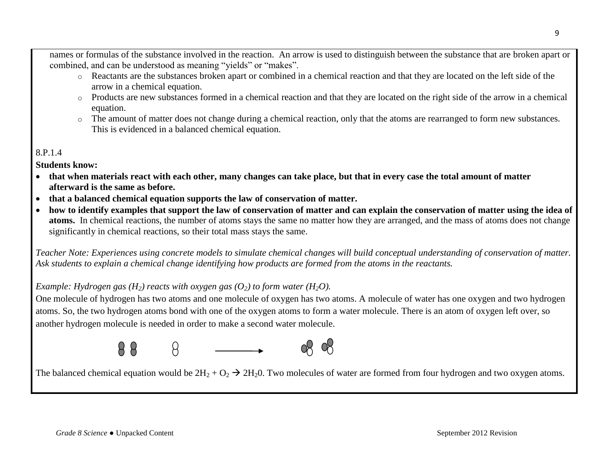names or formulas of the substance involved in the reaction. An arrow is used to distinguish between the substance that are broken apart or combined, and can be understood as meaning "yields" or "makes".

- o Reactants are the substances broken apart or combined in a chemical reaction and that they are located on the left side of the arrow in a chemical equation.
- o Products are new substances formed in a chemical reaction and that they are located on the right side of the arrow in a chemical equation.
- o The amount of matter does not change during a chemical reaction, only that the atoms are rearranged to form new substances. This is evidenced in a balanced chemical equation.

# 8.P.1.4

**Students know:**

- **that when materials react with each other, many changes can take place, but that in every case the total amount of matter afterward is the same as before.**
- **that a balanced chemical equation supports the law of conservation of matter.**
- **how to identify examples that support the law of conservation of matter and can explain the conservation of matter using the idea of atoms.** In chemical reactions, the number of atoms stays the same no matter how they are arranged, and the mass of atoms does not change significantly in chemical reactions, so their total mass stays the same.

*Teacher Note: Experiences using concrete models to simulate chemical changes will build conceptual understanding of conservation of matter. Ask students to explain a chemical change identifying how products are formed from the atoms in the reactants.* 

# *Example: Hydrogen gas*  $(H_2)$  *reacts with oxygen gas*  $(O_2)$  *to form water*  $(H_2O)$ .

One molecule of hydrogen has two atoms and one molecule of oxygen has two atoms. A molecule of water has one oxygen and two hydrogen atoms. So, the two hydrogen atoms bond with one of the oxygen atoms to form a water molecule. There is an atom of oxygen left over, so another hydrogen molecule is needed in order to make a second water molecule.





The balanced chemical equation would be  $2H_2 + O_2 \rightarrow 2H_2 0$ . Two molecules of water are formed from four hydrogen and two oxygen atoms.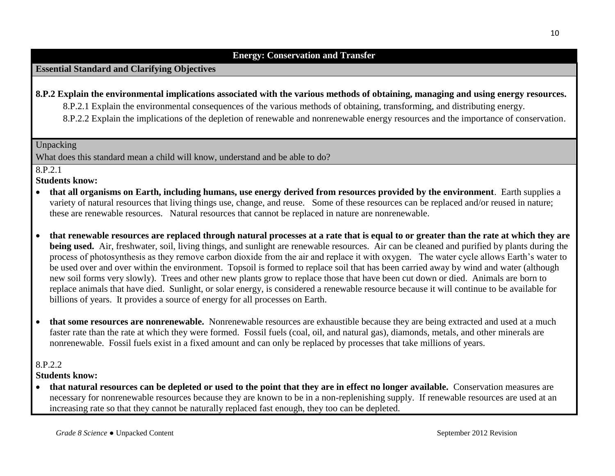### **Energy: Conservation and Transfer**

#### **Essential Standard and Clarifying Objectives**

**8.P.2 Explain the environmental implications associated with the various methods of obtaining, managing and using energy resources.** 8.P.2.1 Explain the environmental consequences of the various methods of obtaining, transforming, and distributing energy. 8.P.2.2 Explain the implications of the depletion of renewable and nonrenewable energy resources and the importance of conservation.

Unpacking

What does this standard mean a child will know, understand and be able to do?

8.P.2.1

**Students know:**

- **that all organisms on Earth, including humans, use energy derived from resources provided by the environment**. Earth supplies a variety of natural resources that living things use, change, and reuse. Some of these resources can be replaced and/or reused in nature; these are renewable resources. Natural resources that cannot be replaced in nature are nonrenewable.
- **that renewable resources are replaced through natural processes at a rate that is equal to or greater than the rate at which they are being used.** Air, freshwater, soil, living things, and sunlight are renewable resources. Air can be cleaned and purified by plants during the process of photosynthesis as they remove carbon dioxide from the air and replace it with oxygen. The water cycle allows Earth's water to be used over and over within the environment. Topsoil is formed to replace soil that has been carried away by wind and water (although new soil forms very slowly). Trees and other new plants grow to replace those that have been cut down or died. Animals are born to replace animals that have died. Sunlight, or solar energy, is considered a renewable resource because it will continue to be available for billions of years. It provides a source of energy for all processes on Earth.
- **that some resources are nonrenewable.** Nonrenewable resources are exhaustible because they are being extracted and used at a much faster rate than the rate at which they were formed. Fossil fuels (coal, oil, and natural gas), diamonds, metals, and other minerals are nonrenewable. Fossil fuels exist in a fixed amount and can only be replaced by processes that take millions of years.

8.P.2.2

**Students know:**

 **that natural resources can be depleted or used to the point that they are in effect no longer available.** Conservation measures are necessary for nonrenewable resources because they are known to be in a non-replenishing supply. If renewable resources are used at an increasing rate so that they cannot be naturally replaced fast enough, they too can be depleted.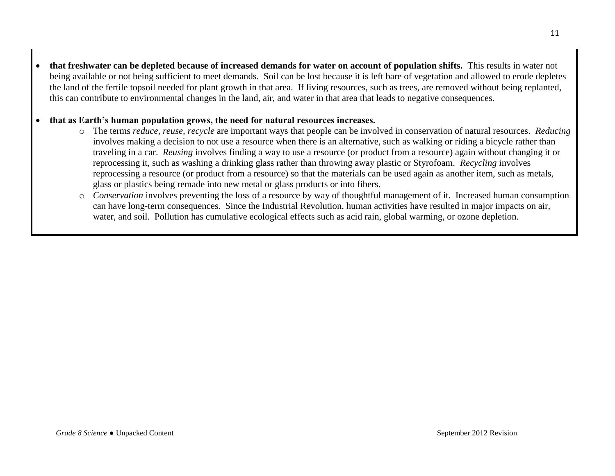**that freshwater can be depleted because of increased demands for water on account of population shifts.** This results in water not being available or not being sufficient to meet demands. Soil can be lost because it is left bare of vegetation and allowed to erode depletes the land of the fertile topsoil needed for plant growth in that area. If living resources, such as trees, are removed without being replanted, this can contribute to environmental changes in the land, air, and water in that area that leads to negative consequences.

### **that as Earth's human population grows, the need for natural resources increases.**

- o The terms *reduce, reuse, recycle* are important ways that people can be involved in conservation of natural resources. *Reducing* involves making a decision to not use a resource when there is an alternative, such as walking or riding a bicycle rather than traveling in a car. *Reusing* involves finding a way to use a resource (or product from a resource) again without changing it or reprocessing it, such as washing a drinking glass rather than throwing away plastic or Styrofoam. *Recycling* involves reprocessing a resource (or product from a resource) so that the materials can be used again as another item, such as metals, glass or plastics being remade into new metal or glass products or into fibers.
- o *Conservation* involves preventing the loss of a resource by way of thoughtful management of it. Increased human consumption can have long-term consequences. Since the Industrial Revolution, human activities have resulted in major impacts on air, water, and soil. Pollution has cumulative ecological effects such as acid rain, global warming, or ozone depletion.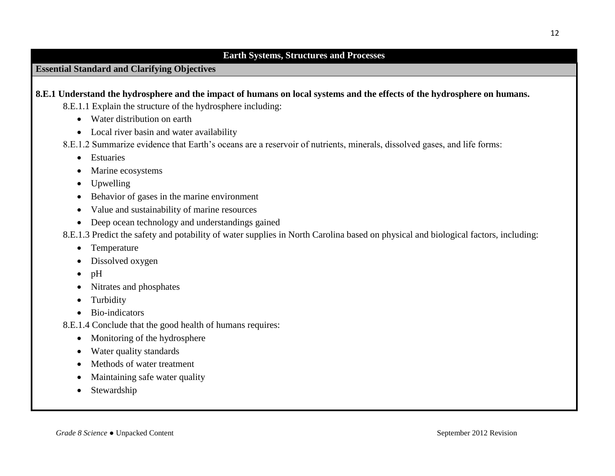#### **Earth Systems, Structures and Processes**

## **Essential Standard and Clarifying Objectives**

- **8.E.1 Understand the hydrosphere and the impact of humans on local systems and the effects of the hydrosphere on humans.**
	- 8.E.1.1 Explain the structure of the hydrosphere including:
		- Water distribution on earth
		- Local river basin and water availability
	- 8.E.1.2 Summarize evidence that Earth's oceans are a reservoir of nutrients, minerals, dissolved gases, and life forms:
		- Estuaries
		- Marine ecosystems
		- Upwelling
		- Behavior of gases in the marine environment
		- Value and sustainability of marine resources
		- Deep ocean technology and understandings gained
	- 8.E.1.3 Predict the safety and potability of water supplies in North Carolina based on physical and biological factors, including:
		- Temperature
		- Dissolved oxygen
		- $\bullet$  pH
		- Nitrates and phosphates
		- Turbidity
		- Bio-indicators
	- 8.E.1.4 Conclude that the good health of humans requires:
		- Monitoring of the hydrosphere
		- Water quality standards
		- Methods of water treatment
		- Maintaining safe water quality
		- Stewardship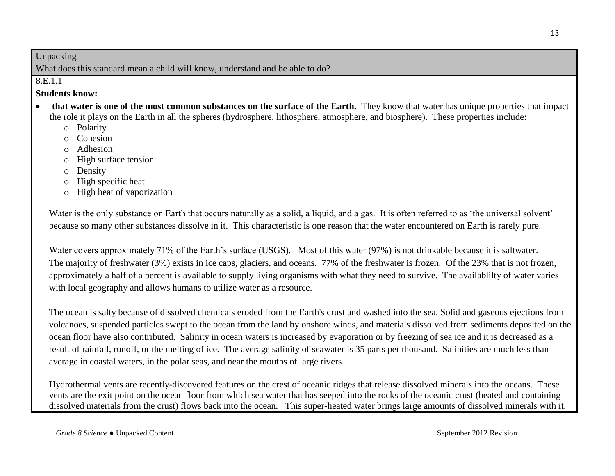### Unpacking

What does this standard mean a child will know, understand and be able to do?

8.E.1.1

### **Students know:**

- **that water is one of the most common substances on the surface of the Earth.** They know that water has unique properties that impact the role it plays on the Earth in all the spheres (hydrosphere, lithosphere, atmosphere, and biosphere). These properties include:
	- o Polarity
	- o Cohesion
	- o Adhesion
	- o High surface tension
	- o Density
	- o High specific heat
	- o High heat of vaporization

Water is the only substance on Earth that occurs naturally as a solid, a liquid, and a gas. It is often referred to as 'the universal solvent' because so many other substances dissolve in it. This characteristic is one reason that the water encountered on Earth is rarely pure.

Water covers approximately 71% of the Earth's surface (USGS). Most of this water (97%) is not drinkable because it is saltwater. The majority of freshwater (3%) exists in ice caps, glaciers, and oceans. 77% of the freshwater is frozen. Of the 23% that is not frozen, approximately a half of a percent is available to supply living organisms with what they need to survive. The availablilty of water varies with local geography and allows humans to utilize water as a resource.

The ocean is salty because of dissolved chemicals eroded from the Earth's crust and washed into the sea. Solid and gaseous ejections from volcanoes, suspended particles swept to the ocean from the land by onshore winds, and materials dissolved from sediments deposited on the ocean floor have also contributed. Salinity in ocean waters is increased by evaporation or by freezing of sea ice and it is decreased as a result of rainfall, runoff, or the melting of ice. The average salinity of seawater is 35 parts per thousand. Salinities are much less than average in coastal waters, in the polar seas, and near the mouths of large rivers.

Hydrothermal vents are recently-discovered features on the crest of oceanic ridges that release dissolved minerals into the oceans. These vents are the exit point on the ocean floor from which sea water that has seeped into the rocks of the oceanic crust (heated and containing dissolved materials from the crust) flows back into the ocean. This super-heated water brings large amounts of dissolved minerals with it.

13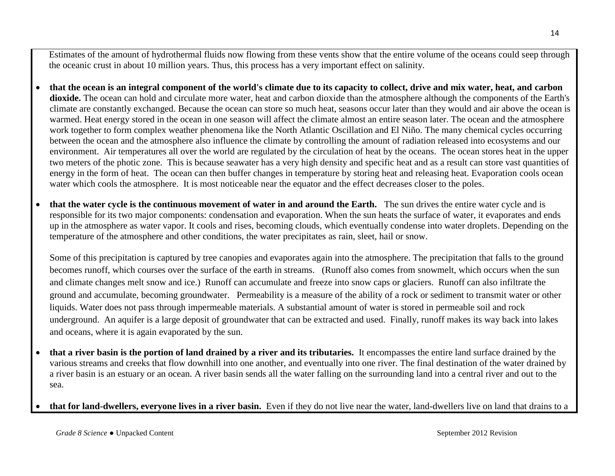Estimates of the amount of hydrothermal fluids now flowing from these vents show that the entire volume of the oceans could seep through the oceanic crust in about 10 million years. Thus, this process has a very important effect on salinity.

- **that the ocean is an integral component of the world's climate due to its capacity to collect, drive and mix water, heat, and carbon**  dioxide. The ocean can hold and circulate more water, heat and carbon dioxide than the atmosphere although the components of the Earth's climate are constantly exchanged. Because the ocean can store so much heat, seasons occur later than they would and air above the ocean is warmed. Heat energy stored in the ocean in one season will affect the climate almost an entire season later. The ocean and the atmosphere work together to form complex weather phenomena like the North Atlantic Oscillation and El Niño. The many chemical cycles occurring between the ocean and the atmosphere also influence the climate by controlling the amount of radiation released into ecosystems and our environment. Air temperatures all over the world are regulated by the circulation of heat by the oceans. The ocean stores heat in the upper two meters of the photic zone. This is because seawater has a very high density and specific heat and as a result can store vast quantities of energy in the form of heat. The ocean can then buffer changes in temperature by storing heat and releasing heat. Evaporation cools ocean water which cools the atmosphere. It is most noticeable near the equator and the effect decreases closer to the poles.
- **that the water cycle is the continuous movement of water in and around the Earth.** The sun drives the entire water cycle and is responsible for its two major components: condensation and evaporation. When the sun heats the surface of water, it evaporates and ends up in the atmosphere as water vapor. It cools and rises, becoming clouds, which eventually condense into water droplets. Depending on the temperature of the atmosphere and other conditions, the water precipitates as rain, sleet, hail or snow.

Some of this precipitation is captured by tree canopies and evaporates again into the atmosphere. The precipitation that falls to the ground becomes runoff, which courses over the surface of the earth in streams. (Runoff also comes from snowmelt, which occurs when the sun and climate changes melt snow and ice.) Runoff can accumulate and freeze into snow caps or glaciers. Runoff can also infiltrate the ground and accumulate, becoming groundwater. Permeability is a measure of the ability of a rock or sediment to transmit water or other liquids. Water does not pass through impermeable materials. A substantial amount of water is stored in permeable soil and rock underground. An aquifer is a large deposit of groundwater that can be extracted and used. Finally, runoff makes its way back into lakes and oceans, where it is again evaporated by the sun.

- **that a river basin is the portion of land drained by a river and its tributaries.** It encompasses the entire land surface drained by the various streams and creeks that flow downhill into one another, and eventually into one river. The final destination of the water drained by a river basin is an estuary or an ocean. A river basin sends all the water falling on the surrounding land into a central river and out to the sea.
- **that for land-dwellers, everyone lives in a river basin.** Even if they do not live near the water, land-dwellers live on land that drains to a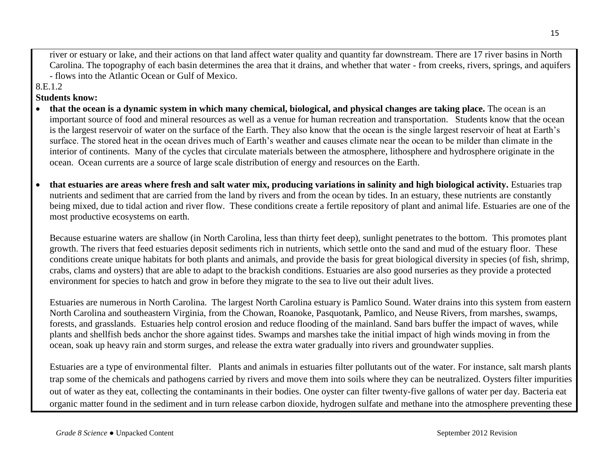river or estuary or lake, and their actions on that land affect water quality and quantity far downstream. There are 17 river basins in North Carolina. The topography of each basin determines the area that it drains, and whether that water - from creeks, rivers, springs, and aquifers - flows into the Atlantic Ocean or Gulf of Mexico.

8.E.1.2

#### **Students know:**

- **that the ocean is a dynamic system in which many chemical, biological, and physical changes are taking place.** The ocean is an important source of food and mineral resources as well as a venue for human recreation and transportation. Students know that the ocean is the largest reservoir of water on the surface of the Earth. They also know that the ocean is the single largest reservoir of heat at Earth's surface. The stored heat in the ocean drives much of Earth's weather and causes climate near the ocean to be milder than climate in the interior of continents. Many of the cycles that circulate materials between the atmosphere, lithosphere and hydrosphere originate in the ocean. Ocean currents are a source of large scale distribution of energy and resources on the Earth.
- **that estuaries are areas where fresh and salt water mix, producing variations in salinity and high biological activity.** Estuaries trap nutrients and sediment that are carried from the land by rivers and from the ocean by tides. In an estuary, these nutrients are constantly being mixed, due to tidal action and river flow. These conditions create a fertile repository of plant and animal life. Estuaries are one of the most productive ecosystems on earth.

Because estuarine waters are shallow (in North Carolina, less than thirty feet deep), sunlight penetrates to the bottom. This promotes plant growth. The rivers that feed estuaries deposit sediments rich in nutrients, which settle onto the sand and mud of the estuary floor. These conditions create unique habitats for both plants and animals, and provide the basis for great biological diversity in species (of fish, shrimp, crabs, clams and oysters) that are able to adapt to the brackish conditions. Estuaries are also good nurseries as they provide a protected environment for species to hatch and grow in before they migrate to the sea to live out their adult lives.

Estuaries are numerous in North Carolina. The largest North Carolina estuary is Pamlico Sound. Water drains into this system from eastern North Carolina and southeastern Virginia, from the Chowan, Roanoke, Pasquotank, Pamlico, and Neuse Rivers, from marshes, swamps, forests, and grasslands. Estuaries help control erosion and reduce flooding of the mainland. Sand bars buffer the impact of waves, while plants and shellfish beds anchor the shore against tides. Swamps and marshes take the initial impact of high winds moving in from the ocean, soak up heavy rain and storm surges, and release the extra water gradually into rivers and groundwater supplies.

Estuaries are a type of environmental filter. Plants and animals in estuaries filter pollutants out of the water. For instance, salt marsh plants trap some of the chemicals and pathogens carried by rivers and move them into soils where they can be neutralized. Oysters filter impurities out of water as they eat, collecting the contaminants in their bodies. One oyster can filter twenty-five gallons of water per day. Bacteria eat organic matter found in the sediment and in turn release carbon dioxide, hydrogen sulfate and methane into the atmosphere preventing these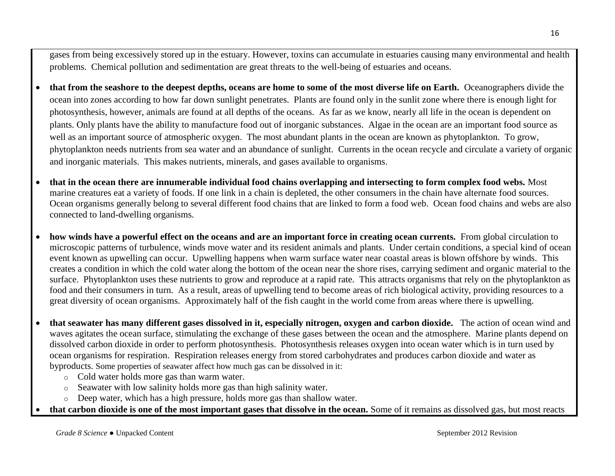gases from being excessively stored up in the estuary. However, toxins can accumulate in estuaries causing many environmental and health problems. Chemical pollution and sedimentation are great threats to the well-being of estuaries and oceans.

- **that from the seashore to the deepest depths, oceans are home to some of the most diverse life on Earth.** Oceanographers divide the ocean into zones according to how far down sunlight penetrates. Plants are found only in the sunlit zone where there is enough light for photosynthesis, however, animals are found at all depths of the oceans. As far as we know, nearly all life in the ocean is dependent on plants. Only plants have the ability to manufacture food out of inorganic substances. Algae in the ocean are an important food source as well as an important source of atmospheric oxygen. The most abundant plants in the ocean are known as phytoplankton. To grow, phytoplankton needs nutrients from sea water and an abundance of sunlight. Currents in the ocean recycle and circulate a variety of organic and inorganic materials. This makes nutrients, minerals, and gases available to organisms.
- **that in the ocean there are innumerable individual food chains overlapping and intersecting to form complex food webs.** Most marine creatures eat a variety of foods. If one link in a chain is depleted, the other consumers in the chain have alternate food sources. Ocean organisms generally belong to several different food chains that are linked to form a food web. Ocean food chains and webs are also connected to land-dwelling organisms.
- **how winds have a powerful effect on the oceans and are an important force in creating ocean currents.** From global circulation to microscopic patterns of turbulence, winds move water and its resident animals and plants. Under certain conditions, a special kind of ocean event known as upwelling can occur. Upwelling happens when warm surface water near coastal areas is blown offshore by winds. This creates a condition in which the cold water along the bottom of the ocean near the shore rises, carrying sediment and organic material to the surface. Phytoplankton uses these nutrients to grow and reproduce at a rapid rate. This attracts organisms that rely on the phytoplankton as food and their consumers in turn. As a result, areas of upwelling tend to become areas of rich biological activity, providing resources to a great diversity of ocean organisms. Approximately half of the fish caught in the world come from areas where there is upwelling.
- **that seawater has many different gases dissolved in it, especially nitrogen, oxygen and carbon dioxide.** The action of ocean wind and waves agitates the ocean surface, stimulating the exchange of these gases between the ocean and the atmosphere. Marine plants depend on dissolved carbon dioxide in order to perform photosynthesis. Photosynthesis releases oxygen into ocean water which is in turn used by ocean organisms for respiration. Respiration releases energy from stored carbohydrates and produces carbon dioxide and water as byproducts. Some properties of seawater affect how much gas can be dissolved in it:
	- o Cold water holds more gas than warm water.
	- o Seawater with low salinity holds more gas than high salinity water.
	- o Deep water, which has a high pressure, holds more gas than shallow water.
- **that carbon dioxide is one of the most important gases that dissolve in the ocean.** Some of it remains as dissolved gas, but most reacts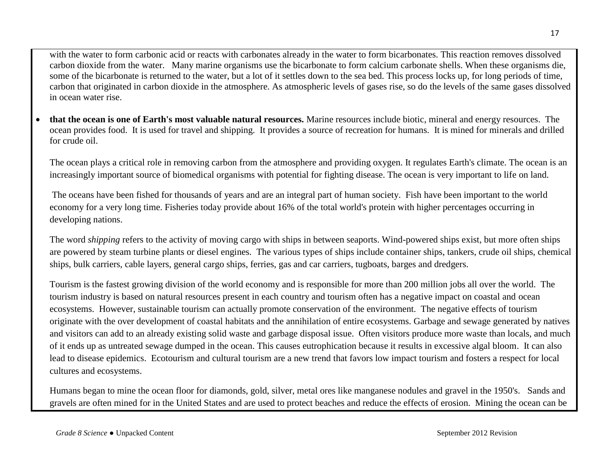with the water to form carbonic acid or reacts with carbonates already in the water to form bicarbonates. This reaction removes dissolved carbon dioxide from the water. Many marine organisms use the bicarbonate to form calcium carbonate shells. When these organisms die, some of the bicarbonate is returned to the water, but a lot of it settles down to the sea bed. This process locks up, for long periods of time, carbon that originated in carbon dioxide in the atmosphere. As atmospheric levels of gases rise, so do the levels of the same gases dissolved in ocean water rise.

 **that the ocean is one of Earth's most valuable natural resources.** Marine resources include biotic, mineral and energy resources. The ocean provides food. It is used for travel and shipping. It provides a source of recreation for humans. It is mined for minerals and drilled for crude oil.

The ocean plays a critical role in removing carbon from the atmosphere and providing oxygen. It regulates Earth's climate. The ocean is an increasingly important source of biomedical organisms with potential for fighting disease. The ocean is very important to life on land.

The oceans have been fished for thousands of years and are an integral part of human society. Fish have been important to the world economy for a very long time. Fisheries today provide about 16% of the total world's protein with higher percentages occurring in developing nations.

The word *shipping* refers to the activity of moving cargo with ships in between seaports. Wind-powered ships exist, but more often ships are powered by steam turbine plants or diesel engines. The various types of ships include container ships, tankers, crude oil ships, chemical ships, bulk carriers, cable layers, general cargo ships, ferries, gas and car carriers, tugboats, barges and dredgers.

Tourism is the fastest growing division of the world economy and is responsible for more than 200 million jobs all over the world. The tourism industry is based on natural resources present in each country and tourism often has a negative impact on coastal and ocean ecosystems. However, sustainable tourism can actually promote conservation of the environment. The negative effects of tourism originate with the over development of coastal habitats and the annihilation of entire ecosystems. Garbage and sewage generated by natives and visitors can add to an already existing solid waste and garbage disposal issue. Often visitors produce more waste than locals, and much of it ends up as untreated sewage dumped in the ocean. This causes eutrophication because it results in excessive algal bloom. It can also lead to disease epidemics. Ecotourism and cultural tourism are a new trend that favors low impact tourism and fosters a respect for local cultures and ecosystems.

Humans began to mine the ocean floor for diamonds, gold, silver, metal ores like manganese nodules and gravel in the 1950's. Sands and gravels are often mined for in the United States and are used to protect beaches and reduce the effects of erosion. Mining the ocean can be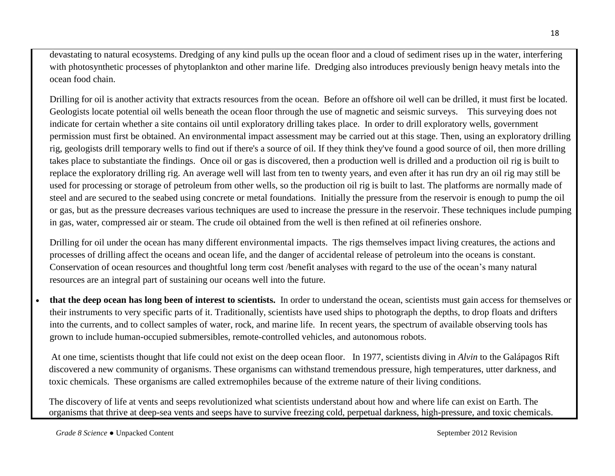devastating to natural ecosystems. Dredging of any kind pulls up the ocean floor and a cloud of sediment rises up in the water, interfering with photosynthetic processes of phytoplankton and other marine life. Dredging also introduces previously benign heavy metals into the ocean food chain.

Drilling for oil is another activity that extracts resources from the ocean. Before an offshore oil well can be drilled, it must first be located. Geologists locate potential oil wells beneath the ocean floor through the use of magnetic and seismic surveys. This surveying does not indicate for certain whether a site contains oil until exploratory drilling takes place. In order to drill exploratory wells, government permission must first be obtained. An environmental impact assessment may be carried out at this stage. Then, using an exploratory drilling rig, geologists drill temporary wells to find out if there's a source of oil. If they think they've found a good source of oil, then more drilling takes place to substantiate the findings. Once oil or gas is discovered, then a production well is drilled and a production oil rig is built to replace the exploratory drilling rig. An average well will last from ten to twenty years, and even after it has run dry an oil rig may still be used for processing or storage of petroleum from other wells, so the production oil rig is built to last. The platforms are normally made of steel and are secured to the seabed using concrete or metal foundations. Initially the pressure from the reservoir is enough to pump the oil or gas, but as the pressure decreases various techniques are used to increase the pressure in the reservoir. These techniques include pumping in gas, water, compressed air or steam. The crude oil obtained from the well is then refined at oil refineries onshore.

Drilling for oil under the ocean has many different environmental impacts. The rigs themselves impact living creatures, the actions and processes of drilling affect the oceans and ocean life, and the danger of accidental release of petroleum into the oceans is constant. Conservation of ocean resources and thoughtful long term cost /benefit analyses with regard to the use of the ocean's many natural resources are an integral part of sustaining our oceans well into the future.

 **that the deep ocean has long been of interest to scientists.** In order to understand the ocean, scientists must gain access for themselves or their instruments to very specific parts of it. Traditionally, scientists have used ships to photograph the depths, to drop floats and drifters into the currents, and to collect samples of water, rock, and marine life. In recent years, the spectrum of available observing tools has grown to include human-occupied submersibles, remote-controlled vehicles, and autonomous robots.

At one time, scientists thought that life could not exist on the deep ocean floor. In 1977, scientists diving in *Alvin* to the Galápagos Rift discovered a new community of organisms. These organisms can withstand tremendous pressure, high temperatures, utter darkness, and toxic chemicals. These organisms are called extremophiles because of the extreme nature of their living conditions.

The discovery of life at vents and seeps revolutionized what scientists understand about how and where life can exist on Earth. The organisms that thrive at deep-sea vents and seeps have to survive freezing cold, perpetual darkness, high-pressure, and toxic chemicals.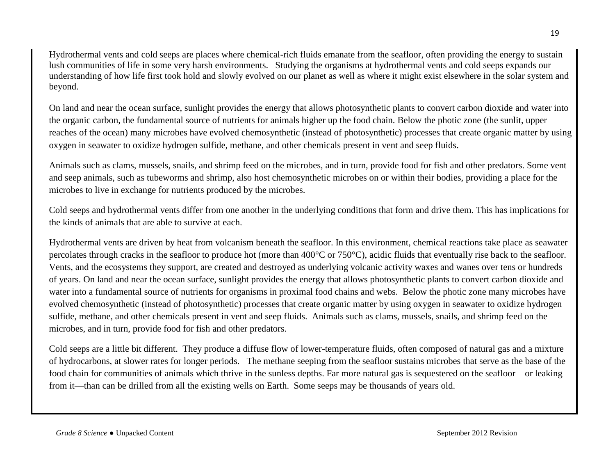Hydrothermal vents and cold seeps are places where chemical-rich fluids emanate from the seafloor, often providing the energy to sustain lush communities of life in some very harsh environments. Studying the organisms at hydrothermal vents and cold seeps expands our understanding of how life first took hold and slowly evolved on our planet as well as where it might exist elsewhere in the solar system and beyond.

On land and near the ocean surface, sunlight provides the energy that allows photosynthetic plants to convert carbon dioxide and water into the organic carbon, the fundamental source of nutrients for animals higher up the food chain. Below the photic zone (the sunlit, upper reaches of the ocean) many microbes have evolved chemosynthetic (instead of photosynthetic) processes that create organic matter by using oxygen in seawater to oxidize hydrogen sulfide, methane, and other chemicals present in vent and seep fluids.

Animals such as clams, mussels, snails, and shrimp feed on the microbes, and in turn, provide food for fish and other predators. Some vent and seep animals, such as tubeworms and shrimp, also host chemosynthetic microbes on or within their bodies, providing a place for the microbes to live in exchange for nutrients produced by the microbes.

Cold seeps and hydrothermal vents differ from one another in the underlying conditions that form and drive them. This has implications for the kinds of animals that are able to survive at each.

Hydrothermal vents are driven by heat from volcanism beneath the seafloor. In this environment, chemical reactions take place as seawater percolates through cracks in the seafloor to produce hot (more than 400°C or 750°C), acidic fluids that eventually rise back to the seafloor. Vents, and the ecosystems they support, are created and destroyed as underlying volcanic activity waxes and wanes over tens or hundreds of years. On land and near the ocean surface, sunlight provides the energy that allows photosynthetic plants to convert carbon dioxide and water into a fundamental source of nutrients for organisms in proximal food chains and webs. Below the photic zone many microbes have evolved chemosynthetic (instead of photosynthetic) processes that create organic matter by using oxygen in seawater to oxidize hydrogen sulfide, methane, and other chemicals present in vent and seep fluids. Animals such as clams, mussels, snails, and shrimp feed on the microbes, and in turn, provide food for fish and other predators.

Cold seeps are a little bit different. They produce a diffuse flow of lower-temperature fluids, often composed of natural gas and a mixture of hydrocarbons, at slower rates for longer periods. The methane seeping from the seafloor sustains microbes that serve as the base of the food chain for communities of animals which thrive in the sunless depths. Far more natural gas is sequestered on the seafloor—or leaking from it—than can be drilled from all the existing wells on Earth. Some seeps may be thousands of years old.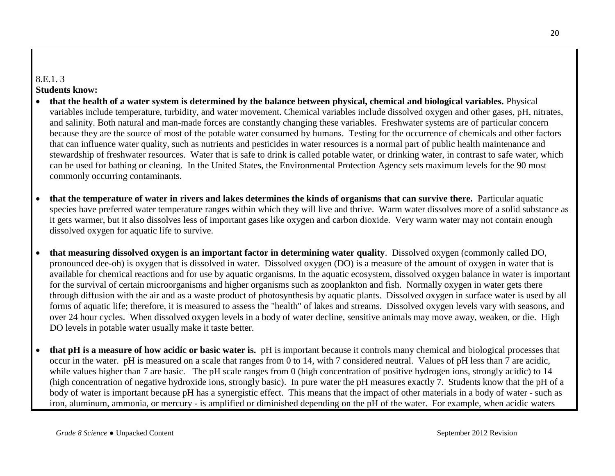### 8.E.1. 3

#### **Students know:**

- **that the health of a water system is determined by the balance between physical, chemical and biological variables.** Physical variables include temperature, turbidity, and water movement. Chemical variables include dissolved oxygen and other gases, pH, nitrates, and salinity. Both natural and man-made forces are constantly changing these variables. Freshwater systems are of particular concern because they are the source of most of the potable water consumed by humans. Testing for the occurrence of chemicals and other factors that can influence water quality, such as nutrients and pesticides in water resources is a normal part of public health maintenance and stewardship of freshwater resources. Water that is safe to drink is called potable water, or drinking water, in contrast to safe water, which can be used for bathing or cleaning. In the United States, the Environmental Protection Agency sets maximum levels for the 90 most commonly occurring contaminants.
- **that the temperature of water in rivers and lakes determines the kinds of organisms that can survive there.** Particular aquatic species have preferred water temperature ranges within which they will live and thrive. Warm water dissolves more of a solid substance as it gets warmer, but it also dissolves less of important gases like oxygen and carbon dioxide. Very warm water may not contain enough dissolved oxygen for aquatic life to survive.
- **that measuring dissolved oxygen is an important factor in determining water quality**. Dissolved oxygen (commonly called DO, pronounced dee-oh) is oxygen that is dissolved in water. Dissolved oxygen (DO) is a measure of the amount of oxygen in water that is available for chemical reactions and for use by aquatic organisms. In the aquatic ecosystem, dissolved oxygen balance in water is important for the survival of certain microorganisms and higher organisms such as zooplankton and fish. Normally oxygen in water gets there through diffusion with the air and as a waste product of photosynthesis by aquatic plants. Dissolved oxygen in surface water is used by all forms of aquatic life; therefore, it is measured to assess the "health" of lakes and streams. Dissolved oxygen levels vary with seasons, and over 24 hour cycles. When dissolved oxygen levels in a body of water decline, sensitive animals may move away, weaken, or die. High DO levels in potable water usually make it taste better.
- **that pH is a measure of how acidic or basic water is.** pH is important because it controls many chemical and biological processes that occur in the water. pH is measured on a scale that ranges from 0 to 14, with 7 considered neutral. Values of pH less than 7 are acidic, while values higher than 7 are basic. The pH scale ranges from 0 (high concentration of positive hydrogen ions, strongly acidic) to 14 (high concentration of negative hydroxide ions, strongly basic). In pure water the pH measures exactly 7. Students know that the pH of a body of water is important because pH has a synergistic effect. This means that the impact of other materials in a body of water - such as iron, aluminum, ammonia, or mercury - is amplified or diminished depending on the pH of the water. For example, when acidic waters

20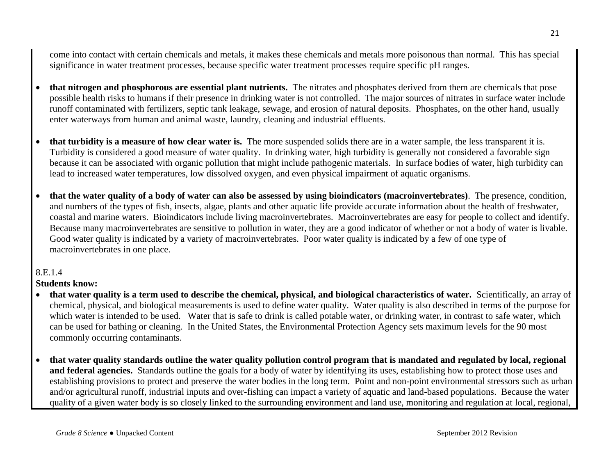come into contact with certain chemicals and metals, it makes these chemicals and metals more poisonous than normal. This has special significance in water treatment processes, because specific water treatment processes require specific pH ranges.

- **that nitrogen and phosphorous are essential plant nutrients.** The nitrates and phosphates derived from them are chemicals that pose possible health risks to humans if their presence in drinking water is not controlled. The major sources of nitrates in surface water include runoff contaminated with fertilizers, septic tank leakage, sewage, and erosion of natural deposits. Phosphates, on the other hand, usually enter waterways from human and animal waste, laundry, cleaning and industrial effluents.
- **that turbidity is a measure of how clear water is.** The more suspended solids there are in a water sample, the less transparent it is. Turbidity is considered a good measure of water quality. In drinking water, high turbidity is generally not considered a favorable sign because it can be associated with organic pollution that might include pathogenic materials. In surface bodies of water, high turbidity can lead to increased water temperatures, low dissolved oxygen, and even physical impairment of aquatic organisms.
- **that the water quality of a body of water can also be assessed by using bioindicators (macroinvertebrates)**. The presence, condition, and numbers of the types of fish, insects, algae, plants and other aquatic life provide accurate information about the health of freshwater, coastal and marine waters. Bioindicators include living macroinvertebrates. Macroinvertebrates are easy for people to collect and identify. Because many macroinvertebrates are sensitive to pollution in water, they are a good indicator of whether or not a body of water is livable. Good water quality is indicated by a variety of macroinvertebrates. Poor water quality is indicated by a few of one type of macroinvertebrates in one place.

### 8.E.1.4

### **Students know:**

- **that water quality is a term used to describe the chemical, physical, and biological characteristics of water.** Scientifically, an array of chemical, physical, and biological measurements is used to define water quality. Water quality is also described in terms of the purpose for which water is intended to be used. Water that is safe to drink is called potable water, or drinking water, in contrast to safe water, which can be used for bathing or cleaning. In the United States, the Environmental Protection Agency sets maximum levels for the 90 most commonly occurring contaminants.
- **that water quality standards outline the water quality pollution control program that is mandated and regulated by local, regional and federal agencies.** Standards outline the goals for a body of water by identifying its uses, establishing how to protect those uses and establishing provisions to protect and preserve the water bodies in the long term. Point and non-point environmental stressors such as urban and/or agricultural runoff, industrial inputs and over-fishing can impact a variety of aquatic and land-based populations. Because the water quality of a given water body is so closely linked to the surrounding environment and land use, monitoring and regulation at local, regional,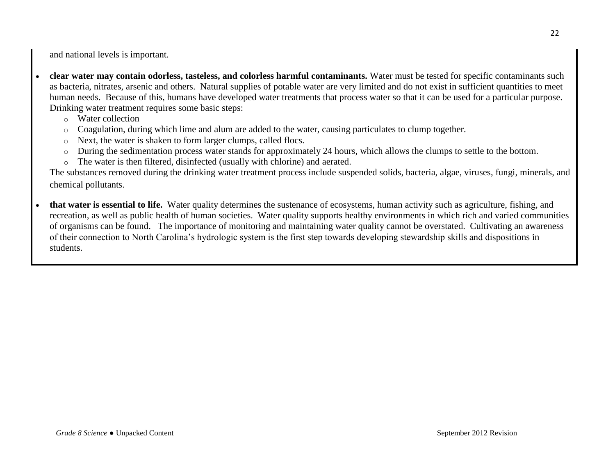and national levels is important.

- **clear water may contain odorless, tasteless, and colorless harmful contaminants.** Water must be tested for specific contaminants such as bacteria, nitrates, arsenic and others. Natural supplies of potable water are very limited and do not exist in sufficient quantities to meet human needs. Because of this, humans have developed water treatments that process water so that it can be used for a particular purpose. Drinking water treatment requires some basic steps:
	- o Water collection
	- o Coagulation, during which lime and alum are added to the water, causing particulates to clump together.
	- o Next, the water is shaken to form larger clumps, called flocs.
	- o During the sedimentation process water stands for approximately 24 hours, which allows the clumps to settle to the bottom.
	- o The water is then filtered, disinfected (usually with chlorine) and aerated.

The substances removed during the drinking water treatment process include suspended solids, bacteria, algae, viruses, fungi, minerals, and chemical pollutants.

 **that water is essential to life.** Water quality determines the sustenance of ecosystems, human activity such as agriculture, fishing, and recreation, as well as public health of human societies. Water quality supports healthy environments in which rich and varied communities of organisms can be found. The importance of monitoring and maintaining water quality cannot be overstated. Cultivating an awareness of their connection to North Carolina's hydrologic system is the first step towards developing stewardship skills and dispositions in students.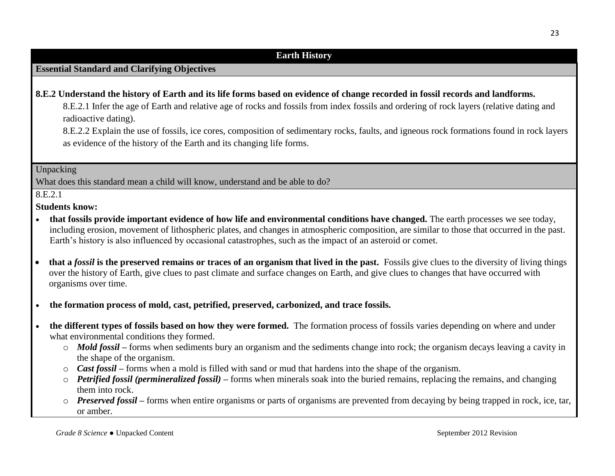# **Essential Standard and Clarifying Objectives**

### **8.E.2 Understand the history of Earth and its life forms based on evidence of change recorded in fossil records and landforms.**

8.E.2.1 Infer the age of Earth and relative age of rocks and fossils from index fossils and ordering of rock layers (relative dating and radioactive dating).

8.E.2.2 Explain the use of fossils, ice cores, composition of sedimentary rocks, faults, and igneous rock formations found in rock layers as evidence of the history of the Earth and its changing life forms.

#### Unpacking

What does this standard mean a child will know, understand and be able to do?

8.E.2.1

#### **Students know:**

- **that fossils provide important evidence of how life and environmental conditions have changed.** The earth processes we see today, including erosion, movement of lithospheric plates, and changes in atmospheric composition, are similar to those that occurred in the past. Earth's history is also influenced by occasional catastrophes, such as the impact of an asteroid or comet.
- **that a** *fossil* **is the preserved remains or traces of an organism that lived in the past.** Fossils give clues to the diversity of living things over the history of Earth, give clues to past climate and surface changes on Earth, and give clues to changes that have occurred with organisms over time.
- **the formation process of mold, cast, petrified, preserved, carbonized, and trace fossils.**
- **the different types of fossils based on how they were formed.** The formation process of fossils varies depending on where and under what environmental conditions they formed.
	- o *Mold fossil* **–** forms when sediments bury an organism and the sediments change into rock; the organism decays leaving a cavity in the shape of the organism.
	- o *Cast fossil* **–** forms when a mold is filled with sand or mud that hardens into the shape of the organism.
	- o *Petrified fossil (permineralized fossil) –* forms when minerals soak into the buried remains, replacing the remains, and changing them into rock.
	- o *Preserved fossil* **–** forms when entire organisms or parts of organisms are prevented from decaying by being trapped in rock, ice, tar, or amber.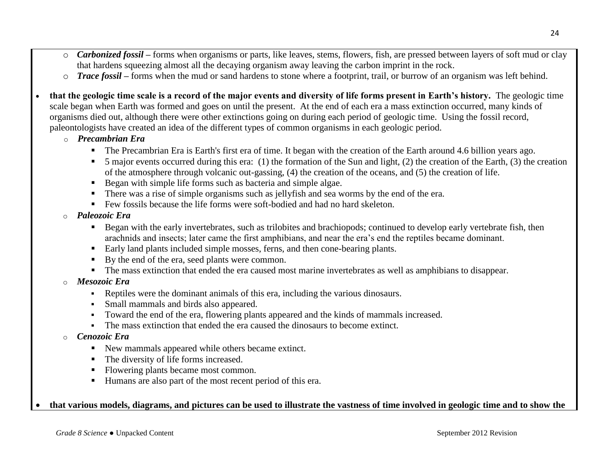- o *Carbonized fossil* **–** forms when organisms or parts, like leaves, stems, flowers, fish, are pressed between layers of soft mud or clay that hardens squeezing almost all the decaying organism away leaving the carbon imprint in the rock.
- o *Trace fossil* **–** forms when the mud or sand hardens to stone where a footprint, trail, or burrow of an organism was left behind.
- **that the geologic time scale is a record of the major events and diversity of life forms present in Earth's history.** The geologic time scale began when Earth was formed and goes on until the present. At the end of each era a mass extinction occurred, many kinds of organisms died out, although there were other extinctions going on during each period of geologic time. Using the fossil record, paleontologists have created an idea of the different types of common organisms in each geologic period.
	- o *Precambrian Era*
		- The Precambrian Era is Earth's first era of time. It began with the creation of the Earth around 4.6 billion years ago.
		- $\blacksquare$  5 major events occurred during this era: (1) the formation of the Sun and light, (2) the creation of the Earth, (3) the creation of the atmosphere through volcanic out-gassing, (4) the creation of the oceans, and (5) the creation of life.
		- Began with simple life forms such as bacteria and simple algae.
		- There was a rise of simple organisms such as jellyfish and sea worms by the end of the era.
		- Few fossils because the life forms were soft-bodied and had no hard skeleton.
	- o *Paleozoic Era* 
		- Began with the early invertebrates, such as trilobites and brachiopods; continued to develop early vertebrate fish, then arachnids and insects; later came the first amphibians, and near the era's end the reptiles became dominant.
		- Early land plants included simple mosses, ferns, and then cone-bearing plants.
		- By the end of the era, seed plants were common.
		- The mass extinction that ended the era caused most marine invertebrates as well as amphibians to disappear.
	- o *Mesozoic Era*
		- Reptiles were the dominant animals of this era, including the various dinosaurs.
		- Small mammals and birds also appeared.
		- Toward the end of the era, flowering plants appeared and the kinds of mammals increased.
		- The mass extinction that ended the era caused the dinosaurs to become extinct.
	- o *Cenozoic Era*
		- New mammals appeared while others became extinct.
		- The diversity of life forms increased.
		- Flowering plants became most common.
		- Humans are also part of the most recent period of this era.

#### **that various models, diagrams, and pictures can be used to illustrate the vastness of time involved in geologic time and to show the**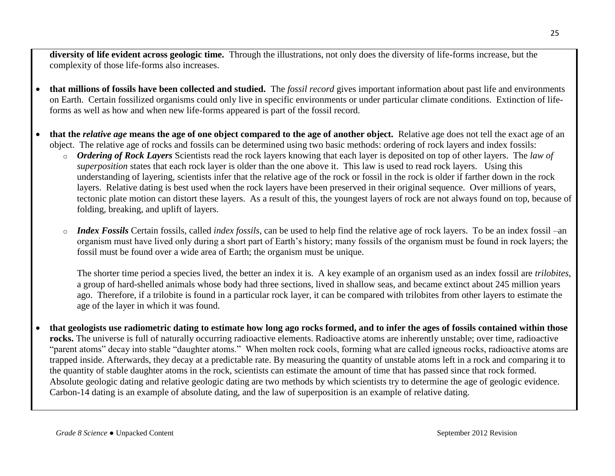**diversity of life evident across geologic time.** Through the illustrations, not only does the diversity of life-forms increase, but the complexity of those life-forms also increases.

- **that millions of fossils have been collected and studied.** The *fossil record* gives important information about past life and environments on Earth. Certain fossilized organisms could only live in specific environments or under particular climate conditions. Extinction of lifeforms as well as how and when new life-forms appeared is part of the fossil record.
- **that the** *relative age* **means the age of one object compared to the age of another object.** Relative age does not tell the exact age of an object. The relative age of rocks and fossils can be determined using two basic methods: ordering of rock layers and index fossils:
	- o *Ordering of Rock Layers* Scientists read the rock layers knowing that each layer is deposited on top of other layers. The *law of superposition* states that each rock layer is older than the one above it. This law is used to read rock layers. Using this understanding of layering, scientists infer that the relative age of the rock or fossil in the rock is older if farther down in the rock layers. Relative dating is best used when the rock layers have been preserved in their original sequence. Over millions of years, tectonic plate motion can distort these layers. As a result of this, the youngest layers of rock are not always found on top, because of folding, breaking, and uplift of layers.
	- o *Index Fossils* Certain fossils, called *index fossils*, can be used to help find the relative age of rock layers. To be an index fossil –an organism must have lived only during a short part of Earth's history; many fossils of the organism must be found in rock layers; the fossil must be found over a wide area of Earth; the organism must be unique.

The shorter time period a species lived, the better an index it is. A key example of an organism used as an index fossil are *trilobites*, a group of hard-shelled animals whose body had three sections, lived in shallow seas, and became extinct about 245 million years ago. Therefore, if a trilobite is found in a particular rock layer, it can be compared with trilobites from other layers to estimate the age of the layer in which it was found.

 **that geologists use radiometric dating to estimate how long ago rocks formed, and to infer the ages of fossils contained within those rocks.** The universe is full of naturally occurring radioactive elements. Radioactive atoms are inherently unstable; over time, radioactive "parent atoms" decay into stable "daughter atoms." When molten rock cools, forming what are called igneous rocks, radioactive atoms are trapped inside. Afterwards, they decay at a predictable rate. By measuring the quantity of unstable atoms left in a rock and comparing it to the quantity of stable daughter atoms in the rock, scientists can estimate the amount of time that has passed since that rock formed. Absolute geologic dating and relative geologic dating are two methods by which scientists try to determine the age of geologic evidence. Carbon-14 dating is an example of absolute dating, and the law of superposition is an example of relative dating.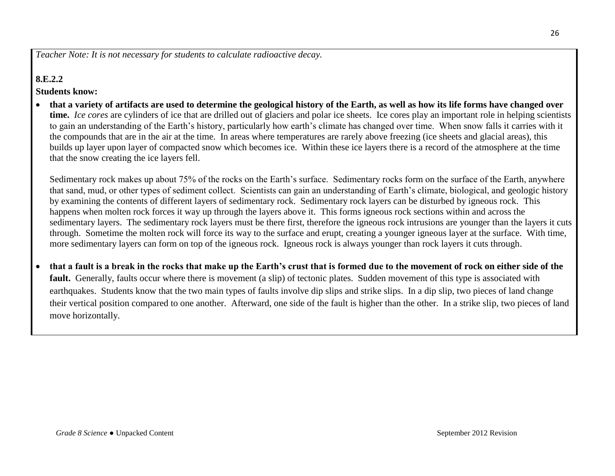*Teacher Note: It is not necessary for students to calculate radioactive decay.*

### **8.E.2.2**

#### **Students know:**

 **that a variety of artifacts are used to determine the geological history of the Earth, as well as how its life forms have changed over time.** *Ice cores* are cylinders of ice that are drilled out of glaciers and polar ice sheets. Ice cores play an important role in helping scientists to gain an understanding of the Earth's history, particularly how earth's climate has changed over time. When snow falls it carries with it the compounds that are in the air at the time. In areas where temperatures are rarely above freezing (ice sheets and glacial areas), this builds up layer upon layer of compacted snow which becomes ice. Within these ice layers there is a record of the atmosphere at the time that the snow creating the ice layers fell.

Sedimentary rock makes up about 75% of the rocks on the Earth's surface. Sedimentary rocks form on the surface of the Earth, anywhere that sand, mud, or other types of sediment collect. Scientists can gain an understanding of Earth's climate, biological, and geologic history by examining the contents of different layers of sedimentary rock. Sedimentary rock layers can be disturbed by igneous rock. This happens when molten rock forces it way up through the layers above it. This forms igneous rock sections within and across the sedimentary layers. The sedimentary rock layers must be there first, therefore the igneous rock intrusions are younger than the layers it cuts through. Sometime the molten rock will force its way to the surface and erupt, creating a younger igneous layer at the surface. With time, more sedimentary layers can form on top of the igneous rock. Igneous rock is always younger than rock layers it cuts through.

 **that a fault is a break in the rocks that make up the Earth's crust that is formed due to the movement of rock on either side of the fault.** Generally, faults occur where there is movement (a slip) of tectonic plates. Sudden movement of this type is associated with earthquakes. Students know that the two main types of faults involve dip slips and strike slips. In a dip slip, two pieces of land change their vertical position compared to one another. Afterward, one side of the fault is higher than the other. In a strike slip, two pieces of land move horizontally.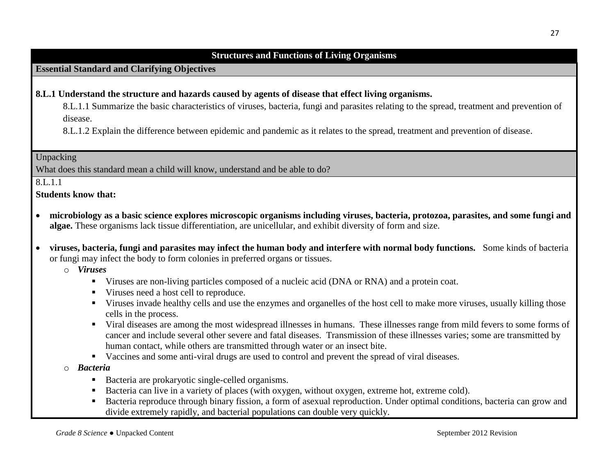#### **Structures and Functions of Living Organisms**

#### **Essential Standard and Clarifying Objectives**

#### **8.L.1 Understand the structure and hazards caused by agents of disease that effect living organisms.**

8.L.1.1 Summarize the basic characteristics of viruses, bacteria, fungi and parasites relating to the spread, treatment and prevention of disease.

8.L.1.2 Explain the difference between epidemic and pandemic as it relates to the spread, treatment and prevention of disease.

#### Unpacking

What does this standard mean a child will know, understand and be able to do?

#### 8.L.1.1

**Students know that:**

- **microbiology as a basic science explores microscopic organisms including viruses, bacteria, protozoa, parasites, and some fungi and algae.** These organisms lack tissue differentiation, are unicellular, and exhibit diversity of form and size.
- **viruses, bacteria, fungi and parasites may infect the human body and interfere with normal body functions.** Some kinds of bacteria or fungi may infect the body to form colonies in preferred organs or tissues.

o *Viruses*

- Viruses are non-living particles composed of a nucleic acid (DNA or RNA) and a protein coat.
- Viruses need a host cell to reproduce.
- Viruses invade healthy cells and use the enzymes and organelles of the host cell to make more viruses, usually killing those cells in the process.
- Viral diseases are among the most widespread illnesses in humans. These illnesses range from mild fevers to some forms of cancer and include several other severe and fatal diseases. Transmission of these illnesses varies; some are transmitted by human contact, while others are transmitted through water or an insect bite.
- Vaccines and some anti-viral drugs are used to control and prevent the spread of viral diseases.
- o *Bacteria*
	- Bacteria are prokaryotic single-celled organisms.
	- Bacteria can live in a variety of places (with oxygen, without oxygen, extreme hot, extreme cold).
	- Bacteria reproduce through [binary fission,](http://en.wikipedia.org/wiki/Binary_fission) a form of [asexual reproduction.](http://en.wikipedia.org/wiki/Asexual_reproduction) Under optimal conditions, bacteria can grow and divide extremely rapidly, and bacterial populations can double very quickly.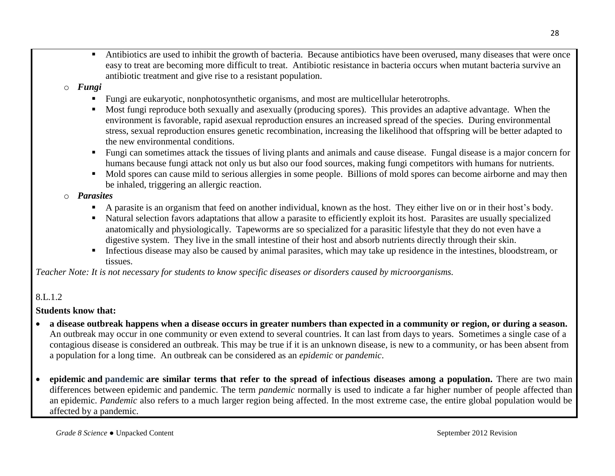Antibiotics are used to inhibit the growth of bacteria. Because antibiotics have been overused, many diseases that were once easy to treat are becoming more difficult to treat. Antibiotic resistance in bacteria occurs when mutant bacteria survive an antibiotic treatment and give rise to a resistant population.

# o *Fungi*

- Fungi are eukaryotic, nonphotosynthetic organisms, and most are multicellular heterotrophs.
- Most fungi reproduce both sexually and asexually (producing spores). This provides an adaptive advantage. When the environment is favorable, rapid asexual reproduction ensures an increased spread of the species. During environmental stress, sexual reproduction ensures genetic recombination, increasing the likelihood that offspring will be better adapted to the new environmental conditions.
- Fungi can sometimes attack the tissues of living plants and animals and cause disease. Fungal disease is a major concern for humans because fungi attack not only us but also our food sources, making fungi competitors with humans for nutrients.
- $\blacksquare$  Mold spores can cause mild to serious allergies in some people. Billions of mold spores can become airborne and may then be inhaled, triggering an allergic reaction.

### o *Parasites*

- A parasite is an organism that feed on another individual, known as the host. They either live on or in their host's body.
- Natural selection favors adaptations that allow a parasite to efficiently exploit its host. Parasites are usually specialized anatomically and physiologically. Tapeworms are so specialized for a parasitic lifestyle that they do not even have a digestive system. They live in the small intestine of their host and absorb nutrients directly through their skin.
- Infectious disease may also be caused by animal parasites, which may take up residence in the intestines, bloodstream, or tissues.

*Teacher Note: It is not necessary for students to know specific diseases or disorders caused by microorganisms.* 

# 8.L.1.2

### **Students know that:**

- **a disease outbreak happens when a disease occurs in greater numbers than expected in a community or region, or during a season.** An outbreak may occur in one community or even extend to several countries. It can last from days to years. Sometimes a single case of a contagious disease is considered an outbreak. This may be true if it is an unknown disease, is new to a community, or has been absent from a population for a long time. An outbreak can be considered as an *epidemic* or *pandemic*.
- **epidemic and [pandemic](http://www.wisegeek.com/what-is-a-pandemic.htm) are similar terms that refer to the spread of infectious diseases among a population.** There are two main differences between epidemic and pandemic. The term *pandemic* normally is used to indicate a far higher number of people affected than an epidemic. *Pandemic* also refers to a much larger region being affected. In the most extreme case, the entire global population would be affected by a pandemic.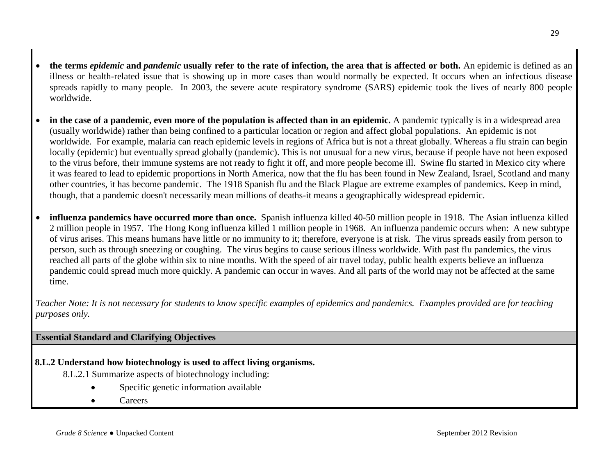- **the terms** *epidemic* **and** *pandemic* **usually refer to the rate of infection, the area that is affected or both.** An epidemic is defined as an illness or health-related issue that is showing up in more cases than would normally be expected. It occurs when an infectious disease spreads rapidly to many people. In 2003, the severe acute respiratory syndrome (SARS) epidemic took the lives of nearly 800 people worldwide.
- **in the case of a pandemic, even more of the population is affected than in an epidemic.** A pandemic typically is in a widespread area (usually worldwide) rather than being confined to a particular location or region and affect global populations. An epidemic is not worldwide. For example, malaria can reach epidemic levels in regions of Africa but is not a threat globally. Whereas a flu strain can begin locally (epidemic) but eventually spread globally (pandemic). This is not unusual for a new virus, because if people have not been exposed to the virus before, their immune systems are not ready to fight it off, and more people become ill. Swine flu started in Mexico city where it was feared to lead to epidemic proportions in North America, now that the flu has been found in New Zealand, Israel, Scotland and many other countries, it has become pandemic. The 1918 Spanish flu and the Black Plague are extreme examples of pandemics. Keep in mind, though, that a pandemic doesn't necessarily mean millions of deaths-it means a geographically widespread epidemic.
- **[influenza](http://www.webmd.com/cold-and-flu/default.htm) pandemics have occurred more than once.** Spanish influenza killed 40-50 million people in 1918. The Asian influenza killed 2 million people in 1957. The Hong Kong influenza killed 1 million people in 1968. An influenza pandemic occurs when: A new subtype of virus arises. This means humans have little or no immunity to it; therefore, everyone is at risk. The virus spreads easily from person to person, such as through sneezing or [coughing.](http://www.webmd.com/cold-and-flu/tc/coughs-topic-overview) The virus begins to cause serious illness worldwide. With past flu pandemics, the virus reached all parts of the globe within six to nine months. With the speed of air travel today, public health experts believe an influenza pandemic could spread much more quickly. A pandemic can occur in waves. And all parts of the world may not be affected at the same time.

*Teacher Note: It is not necessary for students to know specific examples of epidemics and pandemics. Examples provided are for teaching purposes only.*

# **Essential Standard and Clarifying Objectives**

- **8.L.2 Understand how biotechnology is used to affect living organisms.**
	- 8.L.2.1 Summarize aspects of biotechnology including:
		- Specific genetic information available
		- **Careers**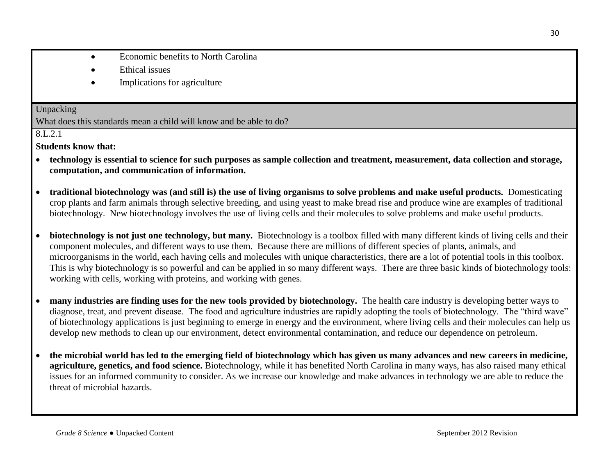- Economic benefits to North Carolina
- Ethical issues
- Implications for agriculture

#### Unpacking What does this standards mean a child will know and be able to do?

8.L.2.1

**Students know that:**

- **technology is essential to science for such purposes as sample collection and treatment, measurement, data collection and storage, computation, and communication of information.**
- **traditional biotechnology was (and still is) the use of living organisms to solve problems and make useful products.** Domesticating crop plants and farm animals through selective breeding, and using yeast to make bread rise and produce wine are examples of traditional biotechnology. New biotechnology involves the use of living cells and their molecules to solve problems and make useful products.
- **biotechnology is not just one technology, but many.** Biotechnology is a toolbox filled with many different kinds of living cells and their component molecules, and different ways to use them. Because there are millions of different species of plants, animals, and microorganisms in the world, each having cells and molecules with unique characteristics, there are a lot of potential tools in this toolbox. This is why biotechnology is so powerful and can be applied in so many different ways. There are three basic kinds of biotechnology tools: working with cells, working with proteins, and working with genes.
- **many industries are finding uses for the new tools provided by biotechnology.** The health care industry is developing better ways to diagnose, treat, and prevent disease. The food and agriculture industries are rapidly adopting the tools of biotechnology. The "third wave" of biotechnology applications is just beginning to emerge in energy and the environment, where living cells and their molecules can help us develop new methods to clean up our environment, detect environmental contamination, and reduce our dependence on petroleum.
- **the microbial world has led to the emerging field of biotechnology which has given us many advances and new careers in medicine, agriculture, genetics, and food science.** Biotechnology, while it has benefited North Carolina in many ways, has also raised many ethical issues for an informed community to consider. As we increase our knowledge and make advances in technology we are able to reduce the threat of microbial hazards.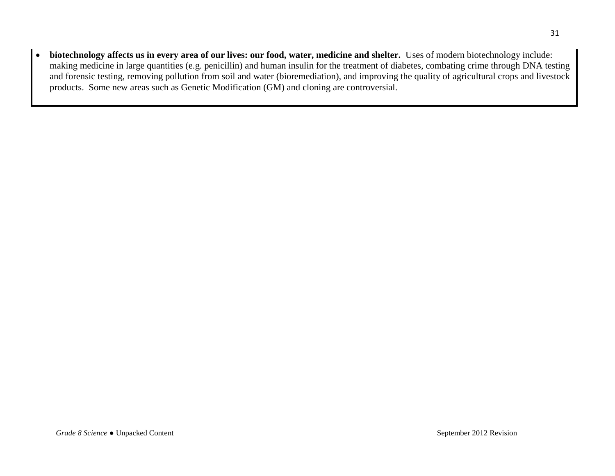**biotechnology affects us in every area of our lives: our food, water, medicine and shelter.** Uses of modern biotechnology include: making medicine in large quantities (e.g. penicillin) and human insulin for the treatment of diabetes, combating crime through DNA testing and forensic testing, removing pollution from soil and water (bioremediation), and improving the quality of agricultural crops and livestock products. Some new areas such as Genetic Modification (GM) and cloning are controversial.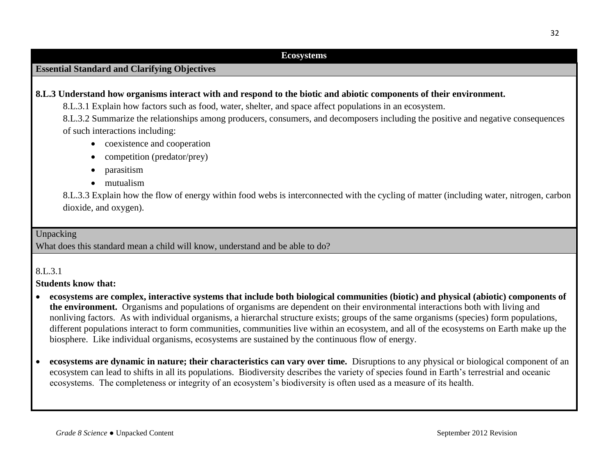#### **Ecosystems**

## **Essential Standard and Clarifying Objectives**

#### **8.L.3 Understand how organisms interact with and respond to the biotic and abiotic components of their environment.**

8.L.3.1 Explain how factors such as food, water, shelter, and space affect populations in an ecosystem.

8.L.3.2 Summarize the relationships among producers, consumers, and decomposers including the positive and negative consequences of such interactions including:

- coexistence and cooperation
- competition (predator/prey)
- parasitism
- mutualism

8.L.3.3 Explain how the flow of energy within food webs is interconnected with the cycling of matter (including water, nitrogen, carbon dioxide, and oxygen).

#### Unpacking

What does this standard mean a child will know, understand and be able to do?

#### 8.L.3.1

#### **Students know that:**

- **ecosystems are complex, interactive systems that include both biological communities (biotic) and physical (abiotic) components of the environment.** Organisms and populations of organisms are dependent on their environmental interactions both with living and nonliving factors. As with individual organisms, a hierarchal structure exists; groups of the same organisms (species) form populations, different populations interact to form communities, communities live within an ecosystem, and all of the ecosystems on Earth make up the biosphere. Like individual organisms, ecosystems are sustained by the continuous flow of energy.
- **ecosystems are dynamic in nature; their characteristics can vary over time.** Disruptions to any physical or biological component of an ecosystem can lead to shifts in all its populations. Biodiversity describes the variety of species found in Earth's terrestrial and oceanic ecosystems. The completeness or integrity of an ecosystem's biodiversity is often used as a measure of its health.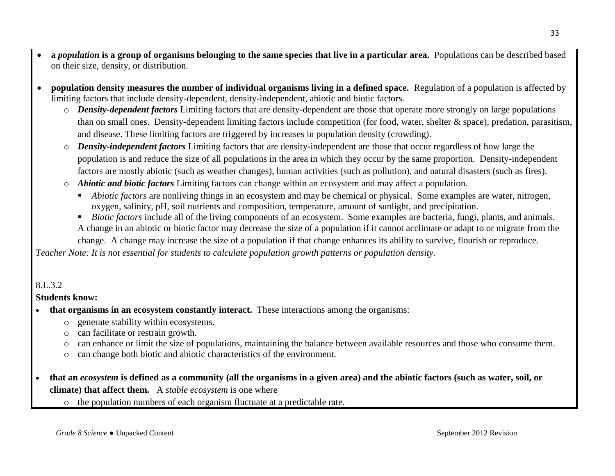- **a** *population* **is a group of organisms belonging to the same species that live in a particular area.** Populations can be described based on their size, density, or distribution.
- **population density measures the number of individual organisms living in a defined space.** Regulation of a population is affected by limiting factors that include density-dependent, density-independent, abiotic and biotic factors.
	- o *Density-dependent factors* Limiting factors that are density-dependent are those that operate more strongly on large populations than on small ones. Density-dependent limiting factors include competition (for food, water, shelter & space), predation, parasitism, and disease. These limiting factors are triggered by increases in population density (crowding).
	- o *Density-independent factors* Limiting factors that are density-independent are those that occur regardless of how large the population is and reduce the size of all populations in the area in which they occur by the same proportion. Density-independent factors are mostly abiotic (such as weather changes), human activities (such as pollution), and natural disasters (such as fires).
	- o *Abiotic and biotic factors* Limiting factors can change within an ecosystem and may affect a population.
		- *Abiotic factors* are nonliving things in an ecosystem and may be chemical or physical. Some examples are water, nitrogen, oxygen, salinity, pH, soil nutrients and composition, temperature, amount of sunlight, and precipitation.
		- *Biotic factors* include all of the living components of an ecosystem. Some examples are bacteria, fungi, plants, and animals. A change in an abiotic or biotic factor may decrease the size of a population if it cannot acclimate or adapt to or migrate from the

change. A change may increase the size of a population if that change enhances its ability to survive, flourish or reproduce.

*Teacher Note: It is not essential for students to calculate population growth patterns or population density.*

# 8.L.3.2

### **Students know:**

- **that organisms in an ecosystem constantly interact.** These interactions among the organisms:
	- o generate stability within ecosystems.
	- o can facilitate or restrain growth.
	- o can enhance or limit the size of populations, maintaining the balance between available resources and those who consume them.
	- o can change both biotic and abiotic characteristics of the environment.
- **that an** *ecosystem* **is defined as a community (all the organisms in a given area) and the abiotic factors (such as water, soil, or climate) that affect them.** A *stable ecosystem* is one where
	- o the population numbers of each organism fluctuate at a predictable rate.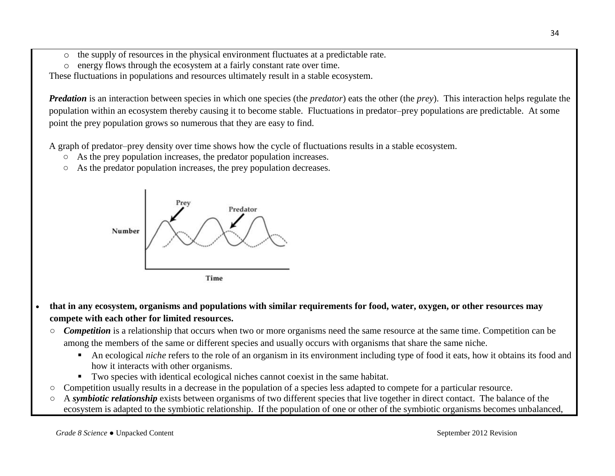- o the supply of resources in the physical environment fluctuates at a predictable rate.
- o energy flows through the ecosystem at a fairly constant rate over time.

These fluctuations in populations and resources ultimately result in a stable ecosystem.

*Predation* is an interaction between species in which one species (the *predator*) eats the other (the *prey*). This interaction helps regulate the population within an ecosystem thereby causing it to become stable. Fluctuations in predator–prey populations are predictable. At some point the prey population grows so numerous that they are easy to find.

A graph of predator–prey density over time shows how the cycle of fluctuations results in a stable ecosystem.

- As the prey population increases, the predator population increases.
- As the predator population increases, the prey population decreases.



- **that in any ecosystem, organisms and populations with similar requirements for food, water, oxygen, or other resources may compete with each other for limited resources.** 
	- *Competition* is a relationship that occurs when two or more organisms need the same resource at the same time. Competition can be among the members of the same or different species and usually occurs with organisms that share the same niche.
		- An ecological *niche* refers to the role of an organism in its environment including type of food it eats, how it obtains its food and how it interacts with other organisms.
		- Two species with identical ecological niches cannot coexist in the same habitat.
	- Competition usually results in a decrease in the population of a species less adapted to compete for a particular resource.
	- A *symbiotic relationship* exists between organisms of two different species that live together in direct contact. The balance of the ecosystem is adapted to the symbiotic relationship. If the population of one or other of the symbiotic organisms becomes unbalanced,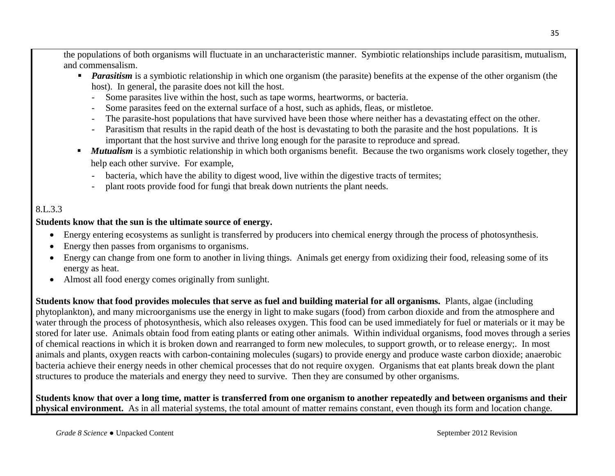the populations of both organisms will fluctuate in an uncharacteristic manner. Symbiotic relationships include parasitism, mutualism, and commensalism.

- *Parasitism* is a symbiotic relationship in which one organism (the parasite) benefits at the expense of the other organism (the host). In general, the parasite does not kill the host.
	- Some parasites live within the host, such as tape worms, heartworms, or bacteria.
	- Some parasites feed on the external surface of a host, such as aphids, fleas, or mistletoe.
	- The parasite-host populations that have survived have been those where neither has a devastating effect on the other.
	- Parasitism that results in the rapid death of the host is devastating to both the parasite and the host populations. It is important that the host survive and thrive long enough for the parasite to reproduce and spread.
- **Mutualism** is a symbiotic relationship in which both organisms benefit. Because the two organisms work closely together, they help each other survive. For example,
	- bacteria, which have the ability to digest wood, live within the digestive tracts of termites;
	- plant roots provide food for fungi that break down nutrients the plant needs.

# 8.L.3.3

### **Students know that the sun is the ultimate source of energy.**

- Energy entering ecosystems as sunlight is transferred by producers into chemical energy through the process of photosynthesis.
- Energy then passes from organisms to organisms.
- Energy can change from one form to another in living things. Animals get energy from oxidizing their food, releasing some of its energy as heat.
- Almost all food energy comes originally from sunlight.

**Students know that food provides molecules that serve as fuel and building material for all organisms.** Plants, algae (including phytoplankton), and many microorganisms use the energy in light to make sugars (food) from carbon dioxide and from the atmosphere and water through the process of photosynthesis, which also releases oxygen. This food can be used immediately for fuel or materials or it may be stored for later use. Animals obtain food from eating plants or eating other animals. Within individual organisms, food moves through a series of chemical reactions in which it is broken down and rearranged to form new molecules, to support growth, or to release energy;. In most animals and plants, oxygen reacts with carbon-containing molecules (sugars) to provide energy and produce waste carbon dioxide; anaerobic bacteria achieve their energy needs in other chemical processes that do not require oxygen. Organisms that eat plants break down the plant structures to produce the materials and energy they need to survive. Then they are consumed by other organisms.

### **Students know that over a long time, matter is transferred from one organism to another repeatedly and between organisms and their physical environment.** As in all material systems, the total amount of matter remains constant, even though its form and location change.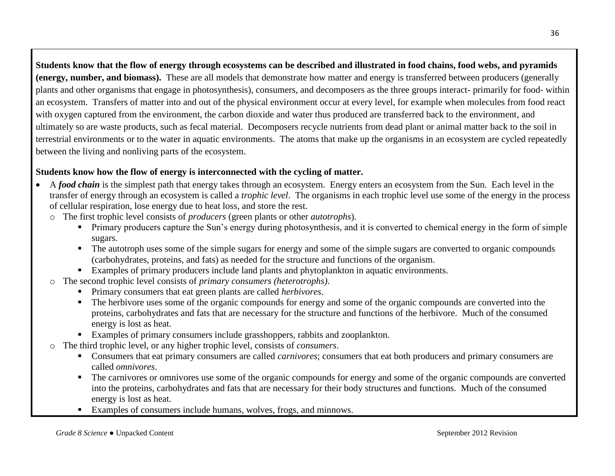**Students know that the flow of energy through ecosystems can be described and illustrated in food chains, food webs, and pyramids (energy, number, and biomass).** These are all models that demonstrate how matter and energy is transferred between producers (generally plants and other organisms that engage in photosynthesis), consumers, and decomposers as the three groups interact- primarily for food- within an ecosystem.Transfers of matter into and out of the physical environment occur at every level, for example when molecules from food react with oxygen captured from the environment, the carbon dioxide and water thus produced are transferred back to the environment, and ultimately so are waste products, such as fecal material. Decomposers recycle nutrients from dead plant or animal matter back to the soil in terrestrial environments or to the water in aquatic environments. The atoms that make up the organisms in an ecosystem are cycled repeatedly between the living and nonliving parts of the ecosystem.

# **Students know how the flow of energy is interconnected with the cycling of matter.**

- A *food chain* is the simplest path that energy takes through an ecosystem. Energy enters an ecosystem from the Sun. Each level in the transfer of energy through an ecosystem is called a *trophic level*. The organisms in each trophic level use some of the energy in the process of cellular respiration, lose energy due to heat loss, and store the rest.
	- o The first trophic level consists of *producers* (green plants or other *autotrophs*).
		- **Primary producers capture the Sun's energy during photosynthesis, and it is converted to chemical energy in the form of simple** sugars.
		- The autotroph uses some of the simple sugars for energy and some of the simple sugars are converted to organic compounds (carbohydrates, proteins, and fats) as needed for the structure and functions of the organism.
		- Examples of primary producers include land plants and phytoplankton in aquatic environments.
	- o The second trophic level consists of *primary consumers (heterotrophs)*.
		- Primary consumers that eat green plants are called *herbivores*.
		- The herbivore uses some of the organic compounds for energy and some of the organic compounds are converted into the proteins, carbohydrates and fats that are necessary for the structure and functions of the herbivore. Much of the consumed energy is lost as heat.
		- Examples of primary consumers include grasshoppers, rabbits and zooplankton.
	- o The third trophic level, or any higher trophic level, consists of *consumers*.
		- Consumers that eat primary consumers are called *carnivores*; consumers that eat both producers and primary consumers are called *omnivores*.
		- The carnivores or omnivores use some of the organic compounds for energy and some of the organic compounds are converted into the proteins, carbohydrates and fats that are necessary for their body structures and functions. Much of the consumed energy is lost as heat.
		- Examples of consumers include humans, wolves, frogs, and minnows.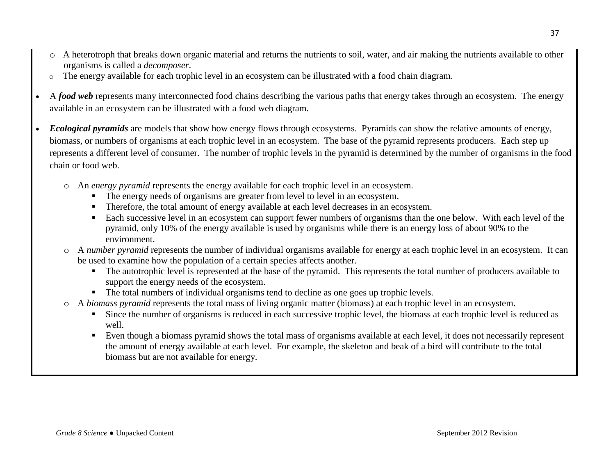- o A heterotroph that breaks down organic material and returns the nutrients to soil, water, and air making the nutrients available to other organisms is called a *decomposer*.
- o The energy available for each trophic level in an ecosystem can be illustrated with a food chain diagram.
- A *food web* represents many interconnected food chains describing the various paths that energy takes through an ecosystem. The energy available in an ecosystem can be illustrated with a food web diagram.
- *Ecological pyramids* are models that show how energy flows through ecosystems. Pyramids can show the relative amounts of energy, biomass, or numbers of organisms at each trophic level in an ecosystem. The base of the pyramid represents producers. Each step up represents a different level of consumer. The number of trophic levels in the pyramid is determined by the number of organisms in the food chain or food web.
	- o An *energy pyramid* represents the energy available for each trophic level in an ecosystem.
		- The energy needs of organisms are greater from level to level in an ecosystem.
		- Therefore, the total amount of energy available at each level decreases in an ecosystem.
		- Each successive level in an ecosystem can support fewer numbers of organisms than the one below. With each level of the pyramid, only 10% of the energy available is used by organisms while there is an energy loss of about 90% to the environment.
	- o A *number pyramid* represents the number of individual organisms available for energy at each trophic level in an ecosystem. It can be used to examine how the population of a certain species affects another.
		- The autotrophic level is represented at the base of the pyramid. This represents the total number of producers available to support the energy needs of the ecosystem.
		- The total numbers of individual organisms tend to decline as one goes up trophic levels.
	- o A *biomass pyramid* represents the total mass of living organic matter (biomass) at each trophic level in an ecosystem.
		- Since the number of organisms is reduced in each successive trophic level, the biomass at each trophic level is reduced as well.
		- Even though a biomass pyramid shows the total mass of organisms available at each level, it does not necessarily represent the amount of energy available at each level. For example, the skeleton and beak of a bird will contribute to the total biomass but are not available for energy.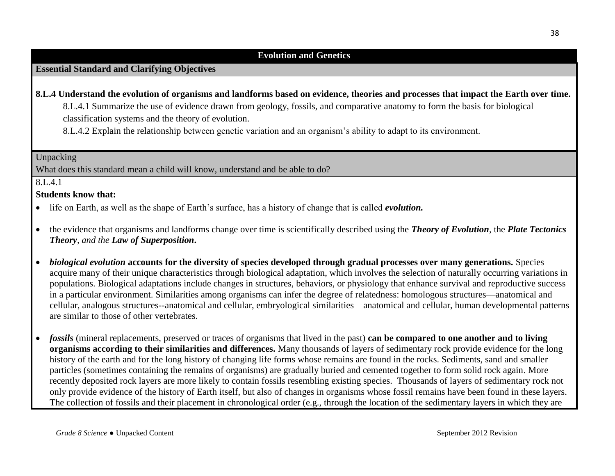### **Evolution and Genetics**

# **Essential Standard and Clarifying Objectives**

**8.L.4 Understand the evolution of organisms and landforms based on evidence, theories and processes that impact the Earth over time.** 8.L.4.1 Summarize the use of evidence drawn from geology, fossils, and comparative anatomy to form the basis for biological

classification systems and the theory of evolution.

8.L.4.2 Explain the relationship between genetic variation and an organism's ability to adapt to its environment.

#### Unpacking

What does this standard mean a child will know, understand and be able to do?

### 8.L.4.1

### **Students know that:**

- life on Earth, as well as the shape of Earth's surface, has a history of change that is called *evolution.*
- the evidence that organisms and landforms change over time is scientifically described using the *Theory of Evolution*, the *Plate Tectonics Theory, and the Law of Superposition***.**
- *biological evolution* **accounts for the diversity of species developed through gradual processes over many generations.** Species acquire many of their unique characteristics through biological adaptation, which involves the selection of naturally occurring variations in populations. Biological adaptations include changes in structures, behaviors, or physiology that enhance survival and reproductive success in a particular environment. Similarities among organisms can infer the degree of relatedness: homologous structures—anatomical and cellular, analogous structures--anatomical and cellular, embryological similarities—anatomical and cellular, human developmental patterns are similar to those of other vertebrates.
- *fossils* (mineral replacements, preserved or traces of organisms that lived in the past) **can be compared to one another and to living organisms according to their similarities and differences.** Many thousands of layers of sedimentary rock provide evidence for the long history of the earth and for the long history of changing life forms whose remains are found in the rocks. Sediments, sand and smaller particles (sometimes containing the remains of organisms) are gradually buried and cemented together to form solid rock again. More recently deposited rock layers are more likely to contain fossils resembling existing species. Thousands of layers of sedimentary rock not only provide evidence of the history of Earth itself, but also of changes in organisms whose fossil remains have been found in these layers. The collection of fossils and their placement in chronological order (e.g., through the location of the sedimentary layers in which they are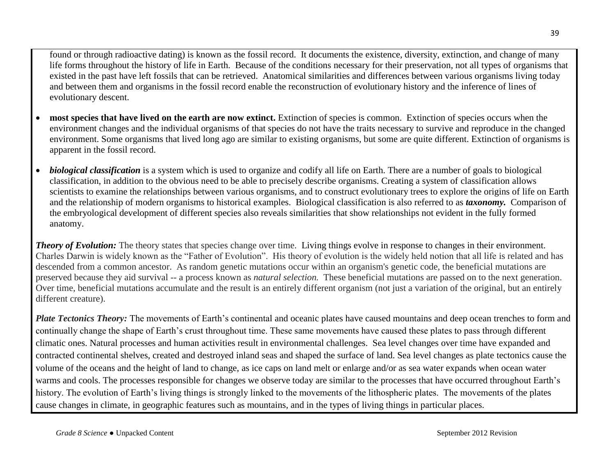found or through radioactive dating) is known as the fossil record. It documents the existence, diversity, extinction, and change of many life forms throughout the history of life in Earth. Because of the conditions necessary for their preservation, not all types of organisms that existed in the past have left fossils that can be retrieved. Anatomical similarities and differences between various organisms living today and between them and organisms in the fossil record enable the reconstruction of evolutionary history and the inference of lines of evolutionary descent.

- **most species that have lived on the earth are now extinct.** Extinction of species is common. Extinction of species occurs when the environment changes and the individual organisms of that species do not have the traits necessary to survive and reproduce in the changed environment. Some organisms that lived long ago are similar to existing organisms, but some are quite different. Extinction of organisms is apparent in the fossil record.
- *biological classification* is a system which is used to organize and codify all life on Earth. There are a number of goals to biological classification, in addition to the obvious need to be able to precisely describe organisms. Creating a system of classification allows scientists to examine the relationships between various organisms, and to construct evolutionary trees to explore the origins of life on Earth and the relationship of modern organisms to historical examples. Biological classification is also referred to as *[taxonomy.](http://www.wisegeek.com/what-is-taxonomy.htm)* Comparison of the embryological development of different species also reveals similarities that show relationships not evident in the fully formed anatomy.

*Theory of Evolution:* The theory states that species change over time. Living things evolve in response to changes in their environment. Charles Darwin is widely known as the "Father of Evolution". His theory of evolution is the widely held notion that all life is related and has descended from a common ancestor. As random genetic mutations occur within an organism's genetic code, the beneficial mutations are preserved because they aid survival -- a process known as *natural selection.* These beneficial mutations are passed on to the next generation. Over time, beneficial mutations accumulate and the result is an entirely different organism (not just a variation of the original, but an entirely different creature).

*Plate Tectonics Theory:* The movements of Earth's continental and oceanic plates have caused mountains and deep ocean trenches to form and continually change the shape of Earth's crust throughout time. These same movements have caused these plates to pass through different climatic ones. Natural processes and human activities result in environmental challenges. Sea level changes over time have expanded and contracted continental shelves, created and destroyed inland seas and shaped the surface of land. Sea level changes as plate tectonics cause the volume of the oceans and the height of land to change, as ice caps on land melt or enlarge and/or as sea water expands when ocean water warms and cools. The processes responsible for changes we observe today are similar to the processes that have occurred throughout Earth's history. The evolution of Earth's living things is strongly linked to the movements of the lithospheric plates. The movements of the plates cause changes in climate, in geographic features such as mountains, and in the types of living things in particular places.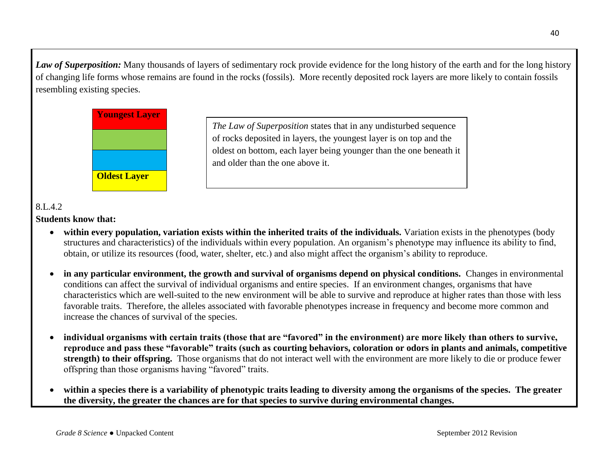*Law of Superposition:* Many thousands of layers of sedimentary rock provide evidence for the long history of the earth and for the long history of changing life forms whose remains are found in the rocks (fossils). More recently deposited rock layers are more likely to contain fossils resembling existing species.



# 8.L.4.2

### **Students know that:**

- within every population, variation exists within the inherited traits of the individuals. Variation exists in the phenotypes (body structures and characteristics) of the individuals within every population. An organism's phenotype may influence its ability to find, obtain, or utilize its resources (food, water, shelter, etc.) and also might affect the organism's ability to reproduce.
- **in any particular environment, the growth and survival of organisms depend on physical conditions.** Changes in environmental conditions can affect the survival of individual organisms and entire species. If an environment changes, organisms that have characteristics which are well-suited to the new environment will be able to survive and reproduce at higher rates than those with less favorable traits. Therefore, the alleles associated with favorable phenotypes increase in frequency and become more common and increase the chances of survival of the species.
- **individual organisms with certain traits (those that are "favored" in the environment) are more likely than others to survive, reproduce and pass these "favorable" traits (such as courting behaviors, coloration or odors in plants and animals, competitive strength) to their offspring.** Those organisms that do not interact well with the environment are more likely to die or produce fewer offspring than those organisms having "favored" traits.
- **within a species there is a variability of phenotypic traits leading to diversity among the organisms of the species. The greater the diversity, the greater the chances are for that species to survive during environmental changes.**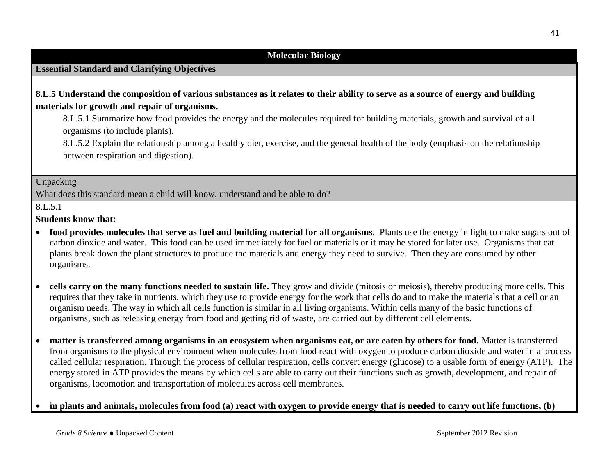### **Molecular Biology**

## **Essential Standard and Clarifying Objectives**

### **8.L.5 Understand the composition of various substances as it relates to their ability to serve as a source of energy and building materials for growth and repair of organisms.**

8.L.5.1 Summarize how food provides the energy and the molecules required for building materials, growth and survival of all organisms (to include plants).

8.L.5.2 Explain the relationship among a healthy diet, exercise, and the general health of the body (emphasis on the relationship between respiration and digestion).

#### Unpacking

What does this standard mean a child will know, understand and be able to do?

### $8.L.5.1$

#### **Students know that:**

- **food provides molecules that serve as fuel and building material for all organisms.** Plants use the energy in light to make sugars out of carbon dioxide and water. This food can be used immediately for fuel or materials or it may be stored for later use. Organisms that eat plants break down the plant structures to produce the materials and energy they need to survive. Then they are consumed by other organisms.
- **cells carry on the many functions needed to sustain life.** They grow and divide (mitosis or meiosis), thereby producing more cells. This requires that they take in nutrients, which they use to provide energy for the work that cells do and to make the materials that a cell or an organism needs. The way in which all cells function is similar in all living organisms. Within cells many of the basic functions of organisms, such as releasing energy from food and getting rid of waste, are carried out by different cell elements.
- **matter is transferred among organisms in an ecosystem when organisms eat, or are eaten by others for food.** Matter is transferred from organisms to the physical environment when molecules from food react with oxygen to produce carbon dioxide and water in a process called cellular respiration. Through the process of cellular respiration, cells convert energy (glucose) to a usable form of energy (ATP). The energy stored in ATP provides the means by which cells are able to carry out their functions such as growth, development, and repair of organisms, locomotion and transportation of molecules across cell membranes.

#### **in plants and animals, molecules from food (a) react with oxygen to provide energy that is needed to carry out life functions, (b)**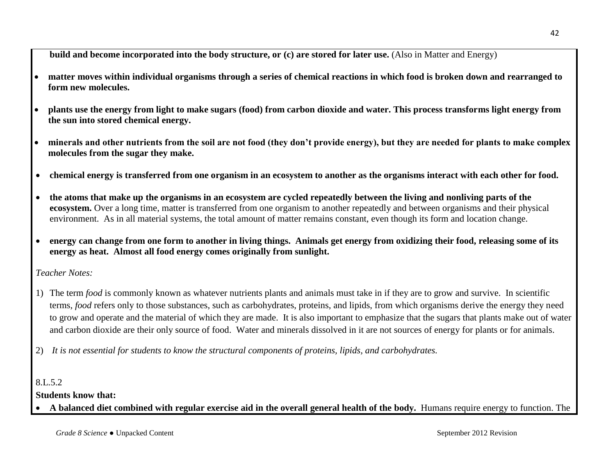**build and become incorporated into the body structure, or (c) are stored for later use.** (Also in Matter and Energy)

- **matter moves within individual organisms through a series of chemical reactions in which food is broken down and rearranged to form new molecules.**
- **plants use the energy from light to make sugars (food) from carbon dioxide and water. This process transforms light energy from the sun into stored chemical energy.**
- **minerals and other nutrients from the soil are not food (they don't provide energy), but they are needed for plants to make complex molecules from the sugar they make.**
- **chemical energy is transferred from one organism in an ecosystem to another as the organisms interact with each other for food.**
- **the atoms that make up the organisms in an ecosystem are cycled repeatedly between the living and nonliving parts of the ecosystem.** Over a long time, matter is transferred from one organism to another repeatedly and between organisms and their physical environment. As in all material systems, the total amount of matter remains constant, even though its form and location change.
- **energy can change from one form to another in living things. Animals get energy from oxidizing their food, releasing some of its energy as heat. Almost all food energy comes originally from sunlight.**

*Teacher Notes:*

- 1) The term *food* is commonly known as whatever nutrients plants and animals must take in if they are to grow and survive. In scientific terms, *food* refers only to those substances, such as carbohydrates, proteins, and lipids, from which organisms derive the energy they need to grow and operate and the material of which they are made. It is also important to emphasize that the sugars that plants make out of water and carbon dioxide are their only source of food. Water and minerals dissolved in it are not sources of energy for plants or for animals.
- 2) *It is not essential for students to know the structural components of proteins, lipids, and carbohydrates.*

8.L.5.2

# **Students know that:**

**A balanced diet combined with regular exercise aid in the overall general health of the body.** Humans require energy to function. The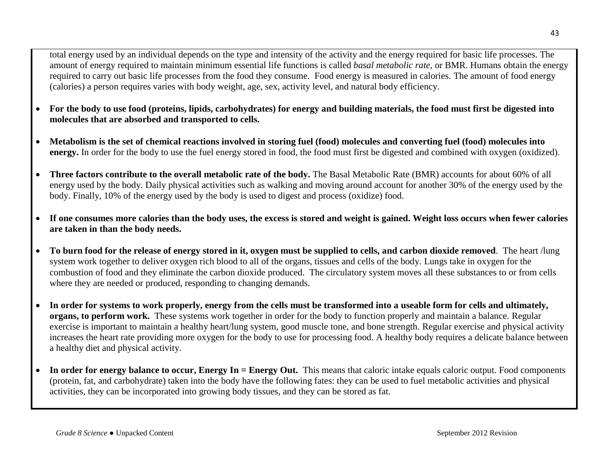total energy used by an individual depends on the type and intensity of the activity and the energy required for basic life processes. The amount of energy required to maintain minimum essential life functions is called *basal metabolic rate*, or BMR. Humans obtain the energy required to carry out basic life processes from the food they consume. Food energy is measured in calories. The amount of food energy (calories) a person requires varies with body weight, age, sex, activity level, and natural body efficiency.

- **For the body to use food (proteins, lipids, carbohydrates) for energy and building materials, the food must first be digested into molecules that are absorbed and transported to cells.**
- **Metabolism is the set of chemical reactions involved in storing fuel (food) molecules and converting fuel (food) molecules into energy.** In order for the body to use the fuel energy stored in food, the food must first be digested and combined with oxygen (oxidized).
- **Three factors contribute to the overall metabolic rate of the body.** The Basal Metabolic Rate (BMR) accounts for about 60% of all energy used by the body. Daily physical activities such as walking and moving around account for another 30% of the energy used by the body. Finally, 10% of the energy used by the body is used to digest and process (oxidize) food.
- **If one consumes more calories than the body uses, the excess is stored and weight is gained. Weight loss occurs when fewer calories are taken in than the body needs.**
- **To burn food for the release of energy stored in it, oxygen must be supplied to cells, and carbon dioxide removed**. The heart /lung system work together to deliver oxygen rich blood to all of the organs, tissues and cells of the body. Lungs take in oxygen for the combustion of food and they eliminate the carbon dioxide produced. The circulatory system moves all these substances to or from cells where they are needed or produced, responding to changing demands.
- **In order for systems to work properly, energy from the cells must be transformed into a useable form for cells and ultimately, organs, to perform work.** These systems work together in order for the body to function properly and maintain a balance. Regular exercise is important to maintain a healthy heart/lung system, good muscle tone, and bone strength. Regular exercise and physical activity increases the heart rate providing more oxygen for the body to use for processing food. A healthy body requires a delicate balance between a healthy diet and physical activity.
- In order for energy balance to occur, Energy In = Energy Out. This means that caloric intake equals caloric output. Food components (protein, fat, and carbohydrate) taken into the body have the following fates: they can be used to fuel metabolic activities and physical activities, they can be incorporated into growing body tissues, and they can be stored as fat.